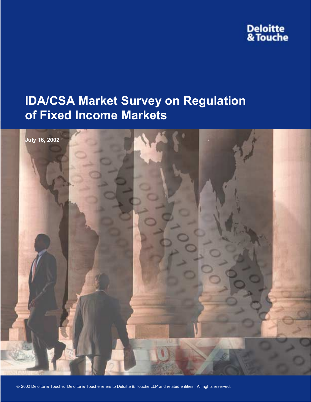# **Deloitte<br>& Touche**

# **IDA/CSA Market Survey on Regulation of Fixed Income Markets**

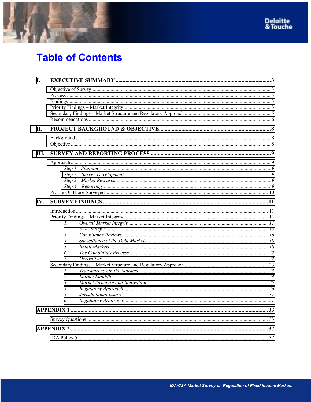



# **Table of Contents**

| I.  |                  |  |  |  |
|-----|------------------|--|--|--|
|     |                  |  |  |  |
|     |                  |  |  |  |
|     |                  |  |  |  |
|     |                  |  |  |  |
|     |                  |  |  |  |
|     |                  |  |  |  |
| II. |                  |  |  |  |
|     |                  |  |  |  |
|     |                  |  |  |  |
| Ш.  |                  |  |  |  |
|     |                  |  |  |  |
|     |                  |  |  |  |
|     |                  |  |  |  |
|     |                  |  |  |  |
|     |                  |  |  |  |
|     |                  |  |  |  |
| IV. |                  |  |  |  |
|     |                  |  |  |  |
|     |                  |  |  |  |
|     | 1.               |  |  |  |
|     | $\overline{2}$ . |  |  |  |
|     | 3.               |  |  |  |
|     | $\overline{4}$ . |  |  |  |
|     | 5.               |  |  |  |
|     | 6.               |  |  |  |
|     | $\mathcal{I}$    |  |  |  |
|     |                  |  |  |  |
|     | 1.               |  |  |  |
|     | $\overline{2}$ . |  |  |  |
|     | 3 <sub>1</sub>   |  |  |  |
|     | $\overline{4}$ . |  |  |  |
|     | 5.               |  |  |  |
|     | 6.               |  |  |  |
|     |                  |  |  |  |
|     |                  |  |  |  |
|     |                  |  |  |  |
|     |                  |  |  |  |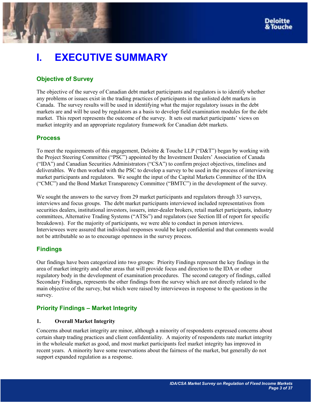# <span id="page-2-0"></span>**I. EXECUTIVE SUMMARY**

# **Objective of Survey**

The objective of the survey of Canadian debt market participants and regulators is to identify whether any problems or issues exist in the trading practices of participants in the unlisted debt markets in Canada. The survey results will be used in identifying what the major regulatory issues in the debt markets are and will be used by regulators as a basis to develop field examination modules for the debt market. This report represents the outcome of the survey. It sets out market participants' views on market integrity and an appropriate regulatory framework for Canadian debt markets.

# **Process**

To meet the requirements of this engagement, Deloitte & Touche LLP ("D&T") began by working with the Project Steering Committee ("PSC") appointed by the Investment Dealers' Association of Canada ("IDA") and Canadian Securities Administrators ("CSA") to confirm project objectives, timelines and deliverables. We then worked with the PSC to develop a survey to be used in the process of interviewing market participants and regulators. We sought the input of the Capital Markets Committee of the IDA  $("CMC")$  and the Bond Market Transparency Committee  $("BMTC")$  in the development of the survey.

We sought the answers to the survey from 29 market participants and regulators through 33 surveys, interviews and focus groups. The debt market participants interviewed included representatives from securities dealers, institutional investors, issuers, inter-dealer brokers, retail market participants, industry committees, Alternative Trading Systems ("ATSs") and regulators (see Section III of report for specific breakdown). For the majority of participants, we were able to conduct in person interviews. Interviewees were assured that individual responses would be kept confidential and that comments would not be attributable so as to encourage openness in the survey process.

# **Findings**

Our findings have been categorized into two groups: Priority Findings represent the key findings in the area of market integrity and other areas that will provide focus and direction to the IDA or other regulatory body in the development of examination procedures. The second category of findings, called Secondary Findings, represents the other findings from the survey which are not directly related to the main objective of the survey, but which were raised by interviewees in response to the questions in the survey.

# **Priority Findings - Market Integrity**

# **1. Overall Market Integrity**

Concerns about market integrity are minor, although a minority of respondents expressed concerns about certain sharp trading practices and client confidentiality. A majority of respondents rate market integrity in the wholesale market as good, and most market participants feel market integrity has improved in recent years. A minority have some reservations about the fairness of the market, but generally do not support expanded regulation as a response.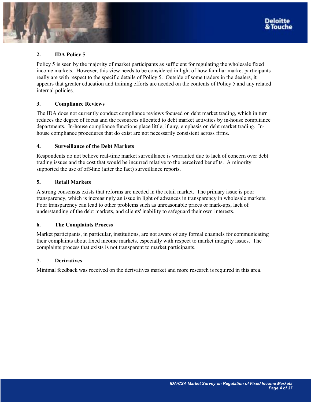

Policy 5 is seen by the majority of market participants as sufficient for regulating the wholesale fixed income markets. However, this view needs to be considered in light of how familiar market participants really are with respect to the specific details of Policy 5. Outside of some traders in the dealers, it appears that greater education and training efforts are needed on the contents of Policy 5 and any related internal policies.

# **3. Compliance Reviews**

The IDA does not currently conduct compliance reviews focused on debt market trading, which in turn reduces the degree of focus and the resources allocated to debt market activities by in-house compliance departments. In-house compliance functions place little, if any, emphasis on debt market trading. Inhouse compliance procedures that do exist are not necessarily consistent across firms.

# **4. Surveillance of the Debt Markets**

Respondents do not believe real-time market surveillance is warranted due to lack of concern over debt trading issues and the cost that would be incurred relative to the perceived benefits. A minority supported the use of off-line (after the fact) surveillance reports.

# **5. Retail Markets**

A strong consensus exists that reforms are needed in the retail market. The primary issue is poor transparency, which is increasingly an issue in light of advances in transparency in wholesale markets. Poor transparency can lead to other problems such as unreasonable prices or mark-ups, lack of understanding of the debt markets, and clients' inability to safeguard their own interests.

## **6. The Complaints Process**

Market participants, in particular, institutions, are not aware of any formal channels for communicating their complaints about fixed income markets, especially with respect to market integrity issues. The complaints process that exists is not transparent to market participants.

## **7. Derivatives**

Minimal feedback was received on the derivatives market and more research is required in this area.

Deloitte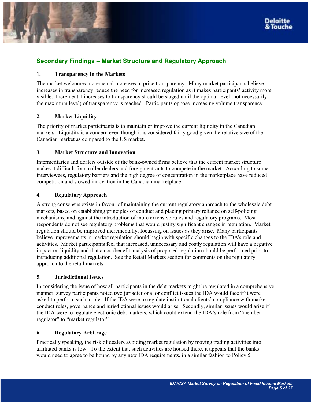<span id="page-4-0"></span>

# **Secondary Findings – Market Structure and Regulatory Approach**

# **1. Transparency in the Markets**

The market welcomes incremental increases in price transparency. Many market participants believe increases in transparency reduce the need for increased regulation as it makes participants' activity more visible. Incremental increases to transparency should be staged until the optimal level (not necessarily the maximum level) of transparency is reached. Participants oppose increasing volume transparency.

# **2. Market Liquidity**

The priority of market participants is to maintain or improve the current liquidity in the Canadian markets. Liquidity is a concern even though it is considered fairly good given the relative size of the Canadian market as compared to the US market.

# **3. Market Structure and Innovation**

Intermediaries and dealers outside of the bank-owned firms believe that the current market structure makes it difficult for smaller dealers and foreign entrants to compete in the market. According to some interviewees, regulatory barriers and the high degree of concentration in the marketplace have reduced competition and slowed innovation in the Canadian marketplace.

# **4. Regulatory Approach**

A strong consensus exists in favour of maintaining the current regulatory approach to the wholesale debt markets, based on establishing principles of conduct and placing primary reliance on self-policing mechanisms, and against the introduction of more extensive rules and regulatory programs. Most respondents do not see regulatory problems that would justify significant changes in regulation. Market regulation should be improved incrementally, focussing on issues as they arise. Many participants believe improvements in market regulation should begin with specific changes to the IDA's role and activities. Market participants feel that increased, unnecessary and costly regulation will have a negative impact on liquidity and that a cost/benefit analysis of proposed regulation should be performed prior to introducing additional regulation. See the Retail Markets section for comments on the regulatory approach to the retail markets.

## **5. Jurisdictional Issues**

In considering the issue of how all participants in the debt markets might be regulated in a comprehensive manner, survey participants noted two jurisdictional or conflict issues the IDA would face if it were asked to perform such a role. If the IDA were to regulate institutional clients' compliance with market conduct rules, governance and jurisdictional issues would arise. Secondly, similar issues would arise if the IDA were to regulate electronic debt markets, which could extend the IDA's role from "member regulator" to "market regulator".

## **6. Regulatory Arbitrage**

Practically speaking, the risk of dealers avoiding market regulation by moving trading activities into affiliated banks is low. To the extent that such activities are housed there, it appears that the banks would need to agree to be bound by any new IDA requirements, in a similar fashion to Policy 5.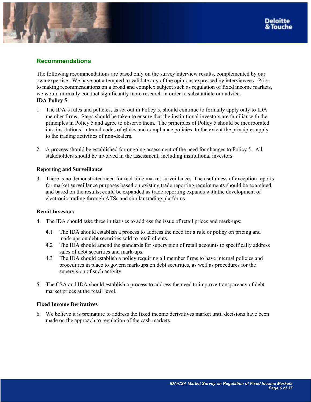<span id="page-5-0"></span>

# **Recommendations**

The following recommendations are based only on the survey interview results, complemented by our own expertise. We have not attempted to validate any of the opinions expressed by interviewees. Prior to making recommendations on a broad and complex subject such as regulation of fixed income markets, we would normally conduct significantly more research in order to substantiate our advice. **IDA Policy 5** 

- 1. The IDAís rules and policies, as set out in Policy 5, should continue to formally apply only to IDA member firms. Steps should be taken to ensure that the institutional investors are familiar with the principles in Policy 5 and agree to observe them. The principles of Policy 5 should be incorporated into institutions' internal codes of ethics and compliance policies, to the extent the principles apply to the trading activities of non-dealers.
- 2. A process should be established for ongoing assessment of the need for changes to Policy 5. All stakeholders should be involved in the assessment, including institutional investors.

## **Reporting and Surveillance**

3. There is no demonstrated need for real-time market surveillance. The usefulness of exception reports for market surveillance purposes based on existing trade reporting requirements should be examined, and based on the results, could be expanded as trade reporting expands with the development of electronic trading through ATSs and similar trading platforms.

## **Retail Investors**

- 4. The IDA should take three initiatives to address the issue of retail prices and mark-ups:
	- 4.1 The IDA should establish a process to address the need for a rule or policy on pricing and mark-ups on debt securities sold to retail clients.
	- 4.2 The IDA should amend the standards for supervision of retail accounts to specifically address sales of debt securities and mark-ups.
	- 4.3 The IDA should establish a policy requiring all member firms to have internal policies and procedures in place to govern mark-ups on debt securities, as well as procedures for the supervision of such activity.
- 5. The CSA and IDA should establish a process to address the need to improve transparency of debt market prices at the retail level.

## **Fixed Income Derivatives**

6. We believe it is premature to address the fixed income derivatives market until decisions have been made on the approach to regulation of the cash markets.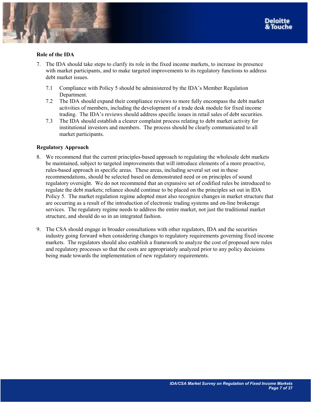

# **Role of the IDA**

- 7. The IDA should take steps to clarify its role in the fixed income markets, to increase its presence with market participants, and to make targeted improvements to its regulatory functions to address debt market issues.
	- 7.1 Compliance with Policy 5 should be administered by the IDA's Member Regulation Department.
	- 7.2 The IDA should expand their compliance reviews to more fully encompass the debt market activities of members, including the development of a trade desk module for fixed income trading. The IDA's reviews should address specific issues in retail sales of debt securities.
	- 7.3 The IDA should establish a clearer complaint process relating to debt market activity for institutional investors and members. The process should be clearly communicated to all market participants.

# **Regulatory Approach**

- 8. We recommend that the current principles-based approach to regulating the wholesale debt markets be maintained, subject to targeted improvements that will introduce elements of a more proactive, rules-based approach in specific areas. These areas, including several set out in these recommendations, should be selected based on demonstrated need or on principles of sound regulatory oversight. We do not recommend that an expansive set of codified rules be introduced to regulate the debt markets; reliance should continue to be placed on the principles set out in IDA Policy 5. The market regulation regime adopted must also recognize changes in market structure that are occurring as a result of the introduction of electronic trading systems and on-line brokerage services. The regulatory regime needs to address the entire market, not just the traditional market structure, and should do so in an integrated fashion.
- 9. The CSA should engage in broader consultations with other regulators, IDA and the securities industry going forward when considering changes to regulatory requirements governing fixed income markets. The regulators should also establish a framework to analyze the cost of proposed new rules and regulatory processes so that the costs are appropriately analyzed prior to any policy decisions being made towards the implementation of new regulatory requirements.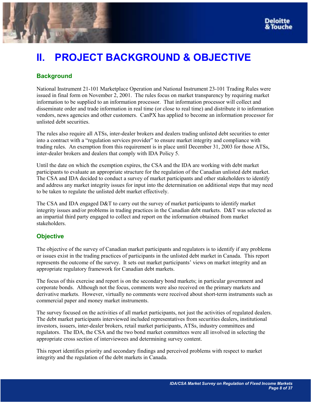# <span id="page-7-0"></span>**II. PROJECT BACKGROUND & OBJECTIVE**

# **Background**

National Instrument 21-101 Marketplace Operation and National Instrument 23-101 Trading Rules were issued in final form on November 2, 2001. The rules focus on market transparency by requiring market information to be supplied to an information processor. That information processor will collect and disseminate order and trade information in real time (or close to real time) and distribute it to information vendors, news agencies and other customers. CanPX has applied to become an information processor for unlisted debt securities.

The rules also require all ATSs, inter-dealer brokers and dealers trading unlisted debt securities to enter into a contract with a "regulation services provider" to ensure market integrity and compliance with trading rules. An exemption from this requirement is in place until December 31, 2003 for those ATSs, inter-dealer brokers and dealers that comply with IDA Policy 5.

Until the date on which the exemption expires, the CSA and the IDA are working with debt market participants to evaluate an appropriate structure for the regulation of the Canadian unlisted debt market. The CSA and IDA decided to conduct a survey of market participants and other stakeholders to identify and address any market integrity issues for input into the determination on additional steps that may need to be taken to regulate the unlisted debt market effectively.

The CSA and IDA engaged D&T to carry out the survey of market participants to identify market integrity issues and/or problems in trading practices in the Canadian debt markets. D&T was selected as an impartial third party engaged to collect and report on the information obtained from market stakeholders.

# **Objective**

The objective of the survey of Canadian market participants and regulators is to identify if any problems or issues exist in the trading practices of participants in the unlisted debt market in Canada. This report represents the outcome of the survey. It sets out market participants' views on market integrity and an appropriate regulatory framework for Canadian debt markets.

The focus of this exercise and report is on the secondary bond markets; in particular government and corporate bonds. Although not the focus, comments were also received on the primary markets and derivative markets. However, virtually no comments were received about short-term instruments such as commercial paper and money market instruments.

The survey focused on the activities of all market participants, not just the activities of regulated dealers. The debt market participants interviewed included representatives from securities dealers, institutional investors, issuers, inter-dealer brokers, retail market participants, ATSs, industry committees and regulators. The IDA, the CSA and the two bond market committees were all involved in selecting the appropriate cross section of interviewees and determining survey content.

This report identifies priority and secondary findings and perceived problems with respect to market integrity and the regulation of the debt markets in Canada.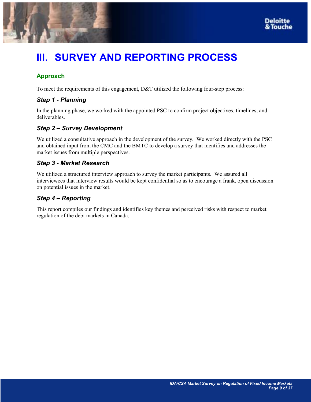<span id="page-8-0"></span>



# **III. SURVEY AND REPORTING PROCESS**

# **Approach**

To meet the requirements of this engagement, D&T utilized the following four-step process:

# *Step 1 - Planning*

In the planning phase, we worked with the appointed PSC to confirm project objectives, timelines, and deliverables.

# **Step 2 - Survey Development**

We utilized a consultative approach in the development of the survey. We worked directly with the PSC and obtained input from the CMC and the BMTC to develop a survey that identifies and addresses the market issues from multiple perspectives.

# *Step 3 - Market Research*

We utilized a structured interview approach to survey the market participants. We assured all interviewees that interview results would be kept confidential so as to encourage a frank, open discussion on potential issues in the market.

# **Step 4 – Reporting**

This report compiles our findings and identifies key themes and perceived risks with respect to market regulation of the debt markets in Canada.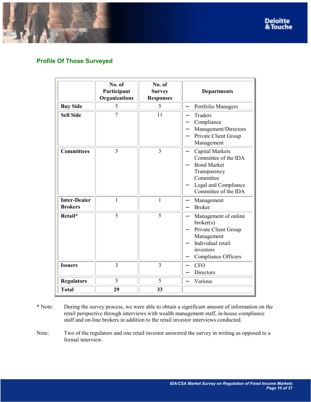

<span id="page-9-0"></span>

# **Profile Of Those Surveyed**

|                                       | No. of<br>Participant<br>Organizations | No. of<br><b>Survey</b><br><b>Responses</b> | <b>Departments</b>                                                                                                                         |
|---------------------------------------|----------------------------------------|---------------------------------------------|--------------------------------------------------------------------------------------------------------------------------------------------|
| <b>Buy Side</b>                       | 5                                      | 5                                           | Portfolio Managers                                                                                                                         |
| <b>Sell Side</b>                      | $\overline{7}$                         | 11                                          | <b>Traders</b><br>Compliance<br>Management/Directors<br>Private Client Group<br>Management                                                 |
| <b>Committees</b>                     | 3                                      | $\overline{3}$                              | Capital Markets<br>Committee of the IDA<br><b>Bond Market</b><br>Transparency<br>Committee<br>Legal and Compliance<br>Committee of the IDA |
| <b>Inter-Dealer</b><br><b>Brokers</b> | $\mathbf{1}$                           | $\mathbf{1}$                                | Management<br><b>Broker</b>                                                                                                                |
| Retail*                               | 5                                      | 5                                           | Management of online<br>broker(s)<br>Private Client Group<br>Management<br>Individual retail<br>investors<br>Compliance Officers           |
| <b>Issuers</b>                        | $\overline{3}$                         | $\overline{3}$                              | <b>CFO</b><br>Directors                                                                                                                    |
| <b>Regulators</b>                     | 5                                      | 5                                           | Various                                                                                                                                    |
| <b>Total</b>                          | 29                                     | 33                                          |                                                                                                                                            |

- \* Note: During the survey process, we were able to obtain a significant amount of information on the retail perspective through interviews with wealth management staff, in-house compliance staff and on-line brokers in addition to the retail investor interviews conducted.
- Note: Two of the regulators and one retail investor answered the survey in writing as opposed to a formal interview.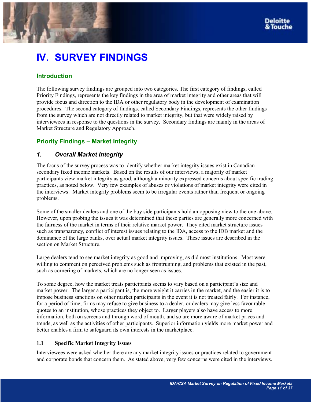# <span id="page-10-0"></span>**IV. SURVEY FINDINGS**

# **Introduction**

The following survey findings are grouped into two categories. The first category of findings, called Priority Findings, represents the key findings in the area of market integrity and other areas that will provide focus and direction to the IDA or other regulatory body in the development of examination procedures. The second category of findings, called Secondary Findings, represents the other findings from the survey which are not directly related to market integrity, but that were widely raised by interviewees in response to the questions in the survey. Secondary findings are mainly in the areas of Market Structure and Regulatory Approach.

# **Priority Findings – Market Integrity**

# *1. Overall Market Integrity*

The focus of the survey process was to identify whether market integrity issues exist in Canadian secondary fixed income markets. Based on the results of our interviews, a majority of market participants view market integrity as good, although a minority expressed concerns about specific trading practices, as noted below. Very few examples of abuses or violations of market integrity were cited in the interviews. Market integrity problems seem to be irregular events rather than frequent or ongoing problems.

Some of the smaller dealers and one of the buy side participants hold an opposing view to the one above. However, upon probing the issues it was determined that these parties are generally more concerned with the fairness of the market in terms of their relative market power. They cited market structure issues such as transparency, conflict of interest issues relating to the IDA, access to the IDB market and the dominance of the large banks, over actual market integrity issues. These issues are described in the section on Market Structure.

Large dealers tend to see market integrity as good and improving, as did most institutions. Most were willing to comment on perceived problems such as frontrunning, and problems that existed in the past, such as cornering of markets, which are no longer seen as issues.

To some degree, how the market treats participants seems to vary based on a participant's size and market power. The larger a participant is, the more weight it carries in the market, and the easier it is to impose business sanctions on other market participants in the event it is not treated fairly. For instance, for a period of time, firms may refuse to give business to a dealer, or dealers may give less favourable quotes to an institution, whose practices they object to. Larger players also have access to more information, both on screens and through word of mouth, and so are more aware of market prices and trends, as well as the activities of other participants. Superior information yields more market power and better enables a firm to safeguard its own interests in the marketplace.

# **1.1 Specific Market Integrity Issues**

Interviewees were asked whether there are any market integrity issues or practices related to government and corporate bonds that concern them. As stated above, very few concerns were cited in the interviews.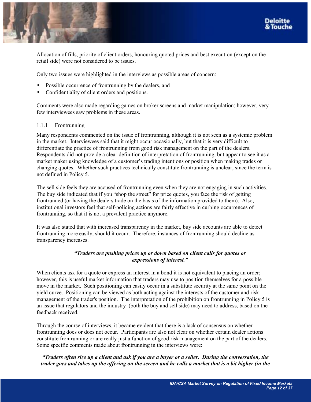

Allocation of fills, priority of client orders, honouring quoted prices and best execution (except on the retail side) were not considered to be issues.

Only two issues were highlighted in the interviews as possible areas of concern:

- Possible occurrence of frontrunning by the dealers, and
- Confidentiality of client orders and positions.

Comments were also made regarding games on broker screens and market manipulation; however, very few interviewees saw problems in these areas.

## 1.1.1 Frontrunning

Many respondents commented on the issue of frontrunning, although it is not seen as a systemic problem in the market. Interviewees said that it might occur occasionally, but that it is very difficult to differentiate the practice of frontrunning from good risk management on the part of the dealers. Respondents did not provide a clear definition of interpretation of frontrunning, but appear to see it as a market maker using knowledge of a customer's trading intentions or position when making trades or changing quotes. Whether such practices technically constitute frontrunning is unclear, since the term is not defined in Policy 5.

The sell side feels they are accused of frontrunning even when they are not engaging in such activities. The buy side indicated that if you "shop the street" for price quotes, you face the risk of getting frontrunned (or having the dealers trade on the basis of the information provided to them). Also, institutional investors feel that self-policing actions are fairly effective in curbing occurrences of frontrunning, so that it is not a prevalent practice anymore.

It was also stated that with increased transparency in the market, buy side accounts are able to detect frontrunning more easily, should it occur. Therefore, instances of frontrunning should decline as transparency increases.

## *ìTraders are pushing prices up or down based on client calls for quotes or expressions of interest.*"

When clients ask for a quote or express an interest in a bond it is not equivalent to placing an order; however, this is useful market information that traders may use to position themselves for a possible move in the market. Such positioning can easily occur in a substitute security at the same point on the yield curve. Positioning can be viewed as both acting against the interests of the customer and risk management of the trader's position. The interpretation of the prohibition on frontrunning in Policy 5 is an issue that regulators and the industry (both the buy and sell side) may need to address, based on the feedback received.

Through the course of interviews, it became evident that there is a lack of consensus on whether frontrunning does or does not occur. Participants are also not clear on whether certain dealer actions constitute frontrunning or are really just a function of good risk management on the part of the dealers. Some specific comments made about frontrunning in the interviews were:

*ìTraders often size up a client and ask if you are a buyer or a seller. During the conversation, the trader goes and takes up the offering on the screen and he calls a market that is a bit higher (in the*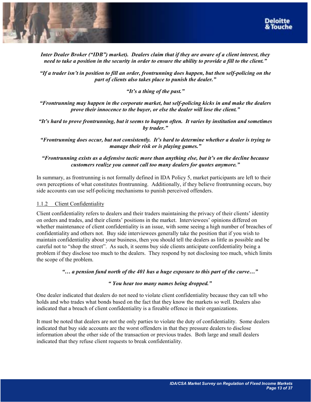

*Inter Dealer Broker ("IDB") market). Dealers claim that if they are aware of a client interest, they need to take a position in the security in order to ensure the ability to provide a fill to the client.*"

<sup>*iif a trader isn't in position to fill an order, frontrunning does happen, but then self-policing on the*</sup> *part of clients also takes place to punish the dealer.*"

*<sup>4</sup>It's a thing of the past.*"

*ìFrontrunning may happen in the corporate market, but self-policing kicks in and make the dealers prove their innocence to the buver, or else the dealer will lose the client.*"

*ìItís hard to prove frontrunning, but it seems to happen often. It varies by institution and sometimes*  by *trader.*"

*ìFrontrunning does occur, but not consistently. Itís hard to determine whether a dealer is trying to manage their risk or is playing games.*"

*ìFrontrunning exists as a defensive tactic more than anything else, but itís on the decline because customers realize you cannot call too many dealers for quotes anymore.*"

In summary, as frontrunning is not formally defined in IDA Policy 5, market participants are left to their own perceptions of what constitutes frontrunning. Additionally, if they believe frontrunning occurs, buy side accounts can use self-policing mechanisms to punish perceived offenders.

## 1.1.2 Client Confidentiality

Client confidentiality refers to dealers and their traders maintaining the privacy of their clients<sup>†</sup> identity on orders and trades, and their clients' positions in the market. Interviewees' opinions differed on whether maintenance of client confidentiality is an issue, with some seeing a high number of breaches of confidentiality and others not. Buy side interviewees generally take the position that if you wish to maintain confidentiality about your business, then you should tell the dealers as little as possible and be careful not to "shop the street". As such, it seems buy side clients anticipate confidentiality being a problem if they disclose too much to the dealers. They respond by not disclosing too much, which limits the scope of the problem.

<sup>*i*</sup> $\ldots$  *a pension fund north of the 401 has a huge exposure to this part of the curve* $\ldots$ <sup>*n*</sup>

## *ì You hear too many names being dropped.î*

One dealer indicated that dealers do not need to violate client confidentiality because they can tell who holds and who trades what bonds based on the fact that they know the markets so well. Dealers also indicated that a breach of client confidentiality is a fireable offence in their organizations.

It must be noted that dealers are not the only parties to violate the duty of confidentiality. Some dealers indicated that buy side accounts are the worst offenders in that they pressure dealers to disclose information about the other side of the transaction or previous trades. Both large and small dealers indicated that they refuse client requests to break confidentiality.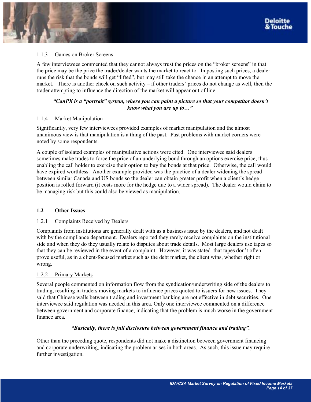### 1.1.3 Games on Broker Screens

A few interviewees commented that they cannot always trust the prices on the "broker screens" in that the price may be the price the trader/dealer wants the market to react to. In posting such prices, a dealer runs the risk that the bonds will get "lifted", but may still take the chance in an attempt to move the market. There is another check on such activity  $-$  if other traders' prices do not change as well, then the trader attempting to influence the direction of the market will appear out of line.

## *ìCanPX is a ìportraitî system, where you can paint a picture so that your competitor doesnít know what you are up to...*"

#### 1.1.4 Market Manipulation

Significantly, very few interviewees provided examples of market manipulation and the almost unanimous view is that manipulation is a thing of the past. Past problems with market corners were noted by some respondents.

A couple of isolated examples of manipulative actions were cited. One interviewee said dealers sometimes make trades to force the price of an underlying bond through an options exercise price, thus enabling the call holder to exercise their option to buy the bonds at that price. Otherwise, the call would have expired worthless. Another example provided was the practice of a dealer widening the spread between similar Canada and US bonds so the dealer can obtain greater profit when a client's hedge position is rolled forward (it costs more for the hedge due to a wider spread). The dealer would claim to be managing risk but this could also be viewed as manipulation.

## **1.2 Other Issues**

## 1.2.1 Complaints Received by Dealers

Complaints from institutions are generally dealt with as a business issue by the dealers, and not dealt with by the compliance department. Dealers reported they rarely receive complaints on the institutional side and when they do they usually relate to disputes about trade details. Most large dealers use tapes so that they can be reviewed in the event of a complaint. However, it was stated that tapes don't often prove useful, as in a client-focused market such as the debt market, the client wins, whether right or wrong.

#### 1.2.2 Primary Markets

Several people commented on information flow from the syndication/underwriting side of the dealers to trading, resulting in traders moving markets to influence prices quoted to issuers for new issues. They said that Chinese walls between trading and investment banking are not effective in debt securities. One interviewee said regulation was needed in this area. Only one interviewee commented on a difference between government and corporate finance, indicating that the problem is much worse in the government finance area.

#### *ìBasically, there is full disclosure between government finance and tradingî.*

Other than the preceding quote, respondents did not make a distinction between government financing and corporate underwriting, indicating the problem arises in both areas. As such, this issue may require further investigation.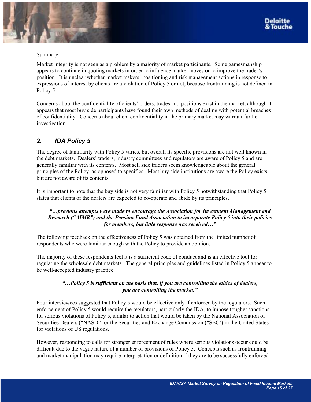<span id="page-14-0"></span>

# Summary

Market integrity is not seen as a problem by a majority of market participants. Some gamesmanship appears to continue in quoting markets in order to influence market moves or to improve the trader's position. It is unclear whether market makersí positioning and risk management actions in response to expressions of interest by clients are a violation of Policy 5 or not, because frontrunning is not defined in Policy 5.

Concerns about the confidentiality of clients' orders, trades and positions exist in the market, although it appears that most buy side participants have found their own methods of dealing with potential breaches of confidentiality. Concerns about client confidentiality in the primary market may warrant further investigation.

# *2. IDA Policy 5*

The degree of familiarity with Policy 5 varies, but overall its specific provisions are not well known in the debt markets. Dealers' traders, industry committees and regulators are aware of Policy 5 and are generally familiar with its contents. Most sell side traders seem knowledgeable about the general principles of the Policy, as opposed to specifics. Most buy side institutions are aware the Policy exists, but are not aware of its contents.

It is important to note that the buy side is not very familiar with Policy 5 notwithstanding that Policy 5 states that clients of the dealers are expected to co-operate and abide by its principles.

# *ìÖprevious attempts were made to encourage the Association for Investment Management and Research ("AIMR") and the Pension Fund Association to incorporate Policy 5 into their policies for members, but little response was received...*"

The following feedback on the effectiveness of Policy 5 was obtained from the limited number of respondents who were familiar enough with the Policy to provide an opinion.

The majority of these respondents feel it is a sufficient code of conduct and is an effective tool for regulating the wholesale debt markets. The general principles and guidelines listed in Policy 5 appear to be well-accepted industry practice.

# *ìÖPolicy 5 is sufficient on the basis that, if you are controlling the ethics of dealers, you are controlling the market.*"

Four interviewees suggested that Policy 5 would be effective only if enforced by the regulators. Such enforcement of Policy 5 would require the regulators, particularly the IDA, to impose tougher sanctions for serious violations of Policy 5, similar to action that would be taken by the National Association of Securities Dealers ("NASD") or the Securities and Exchange Commission ("SEC") in the United States for violations of US regulations.

However, responding to calls for stronger enforcement of rules where serious violations occur could be difficult due to the vague nature of a number of provisions of Policy 5. Concepts such as frontrunning and market manipulation may require interpretation or definition if they are to be successfully enforced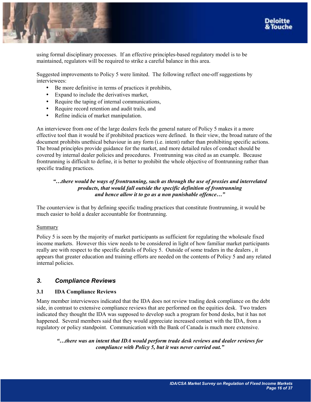<span id="page-15-0"></span>

using formal disciplinary processes. If an effective principles-based regulatory model is to be maintained, regulators will be required to strike a careful balance in this area.

Suggested improvements to Policy 5 were limited. The following reflect one-off suggestions by interviewees:

- Be more definitive in terms of practices it prohibits,
- Expand to include the derivatives market,
- Require the taping of internal communications,
- Require record retention and audit trails, and
- Refine indicia of market manipulation.

An interviewee from one of the large dealers feels the general nature of Policy 5 makes it a more effective tool than it would be if prohibited practices were defined. In their view, the broad nature of the document prohibits unethical behaviour in any form (i.e. intent) rather than prohibiting specific actions. The broad principles provide guidance for the market, and more detailed rules of conduct should be covered by internal dealer policies and procedures. Frontrunning was cited as an example. Because frontrunning is difficult to define, it is better to prohibit the whole objective of frontrunning rather than specific trading practices.

# *ìÖthere would be ways of frontrunning, such as through the use of proxies and interrelated products, that would fall outside the specific definition of frontrunning and hence allow it to go as a non punishable offence...*"

The counterview is that by defining specific trading practices that constitute frontrunning, it would be much easier to hold a dealer accountable for frontrunning.

## Summary

Policy 5 is seen by the majority of market participants as sufficient for regulating the wholesale fixed income markets. However this view needs to be considered in light of how familiar market participants really are with respect to the specific details of Policy 5. Outside of some traders in the dealers , it appears that greater education and training efforts are needed on the contents of Policy 5 and any related internal policies.

# *3. Compliance Reviews*

# **3.1 IDA Compliance Reviews**

Many member interviewees indicated that the IDA does not review trading desk compliance on the debt side, in contrast to extensive compliance reviews that are performed on the equities desk. Two traders indicated they thought the IDA was supposed to develop such a program for bond desks, but it has not happened. Several members said that they would appreciate increased contact with the IDA, from a regulatory or policy standpoint. Communication with the Bank of Canada is much more extensive.

*ìÖthere was an intent that IDA would perform trade desk reviews and dealer reviews for compliance with Policy 5, but it was never carried out.*"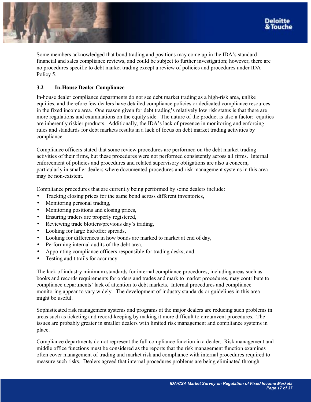

Some members acknowledged that bond trading and positions may come up in the IDA's standard financial and sales compliance reviews, and could be subject to further investigation; however, there are no procedures specific to debt market trading except a review of policies and procedures under IDA Policy 5.

## **3.2 In-House Dealer Compliance**

In-house dealer compliance departments do not see debt market trading as a high-risk area, unlike equities, and therefore few dealers have detailed compliance policies or dedicated compliance resources in the fixed income area. One reason given for debt trading's relatively low risk status is that there are more regulations and examinations on the equity side. The nature of the product is also a factor: equities are inherently riskier products. Additionally, the IDA's lack of presence in monitoring and enforcing rules and standards for debt markets results in a lack of focus on debt market trading activities by compliance.

Compliance officers stated that some review procedures are performed on the debt market trading activities of their firms, but these procedures were not performed consistently across all firms. Internal enforcement of policies and procedures and related supervisory obligations are also a concern, particularly in smaller dealers where documented procedures and risk management systems in this area may be non-existent.

Compliance procedures that are currently being performed by some dealers include:

- Tracking closing prices for the same bond across different inventories,
- Monitoring personal trading,
- Monitoring positions and closing prices,
- Ensuring traders are properly registered,
- Reviewing trade blotters/previous day's trading,
- Looking for large bid/offer spreads,
- Looking for differences in how bonds are marked to market at end of day,
- Performing internal audits of the debt area,
- Appointing compliance officers responsible for trading desks, and
- Testing audit trails for accuracy.

The lack of industry minimum standards for internal compliance procedures, including areas such as books and records requirements for orders and trades and mark to market procedures, may contribute to compliance departments' lack of attention to debt markets. Internal procedures and compliance monitoring appear to vary widely. The development of industry standards or guidelines in this area might be useful.

Sophisticated risk management systems and programs at the major dealers are reducing such problems in areas such as ticketing and record-keeping by making it more difficult to circumvent procedures. The issues are probably greater in smaller dealers with limited risk management and compliance systems in place.

Compliance departments do not represent the full compliance function in a dealer. Risk management and middle office functions must be considered as the reports that the risk management function examines often cover management of trading and market risk and compliance with internal procedures required to measure such risks. Dealers agreed that internal procedures problems are being eliminated through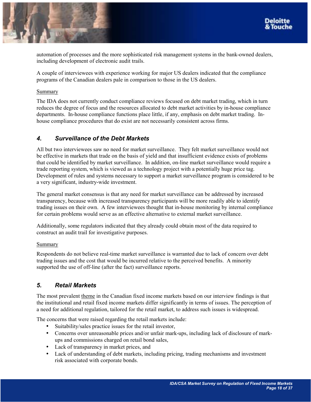

<span id="page-17-0"></span>

automation of processes and the more sophisticated risk management systems in the bank-owned dealers, including development of electronic audit trails.

A couple of interviewees with experience working for major US dealers indicated that the compliance programs of the Canadian dealers pale in comparison to those in the US dealers.

#### Summary

The IDA does not currently conduct compliance reviews focused on debt market trading, which in turn reduces the degree of focus and the resources allocated to debt market activities by in-house compliance departments. In-house compliance functions place little, if any, emphasis on debt market trading. Inhouse compliance procedures that do exist are not necessarily consistent across firms.

# *4. Surveillance of the Debt Markets*

All but two interviewees saw no need for market surveillance. They felt market surveillance would not be effective in markets that trade on the basis of yield and that insufficient evidence exists of problems that could be identified by market surveillance. In addition, on-line market surveillance would require a trade reporting system, which is viewed as a technology project with a potentially huge price tag. Development of rules and systems necessary to support a market surveillance program is considered to be a very significant, industry-wide investment.

The general market consensus is that any need for market surveillance can be addressed by increased transparency, because with increased transparency participants will be more readily able to identify trading issues on their own. A few interviewees thought that in-house monitoring by internal compliance for certain problems would serve as an effective alternative to external market surveillance.

Additionally, some regulators indicated that they already could obtain most of the data required to construct an audit trail for investigative purposes.

## Summary

Respondents do not believe real-time market surveillance is warranted due to lack of concern over debt trading issues and the cost that would be incurred relative to the perceived benefits. A minority supported the use of off-line (after the fact) surveillance reports.

# *5. Retail Markets*

The most prevalent theme in the Canadian fixed income markets based on our interview findings is that the institutional and retail fixed income markets differ significantly in terms of issues. The perception of a need for additional regulation, tailored for the retail market, to address such issues is widespread.

The concerns that were raised regarding the retail markets include:

- Suitability/sales practice issues for the retail investor,
- Concerns over unreasonable prices and/or unfair mark-ups, including lack of disclosure of markups and commissions charged on retail bond sales,
- Lack of transparency in market prices, and
- Lack of understanding of debt markets, including pricing, trading mechanisms and investment risk associated with corporate bonds.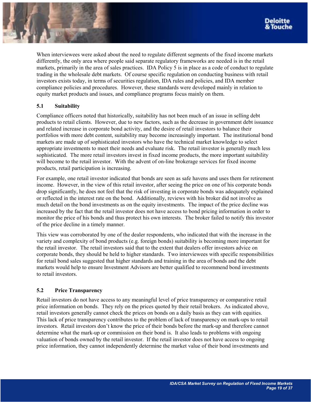When interviewees were asked about the need to regulate different segments of the fixed income markets differently, the only area where people said separate regulatory frameworks are needed is in the retail markets, primarily in the area of sales practices. IDA Policy 5 is in place as a code of conduct to regulate trading in the wholesale debt markets. Of course specific regulation on conducting business with retail investors exists today, in terms of securities regulation, IDA rules and policies, and IDA member compliance policies and procedures. However, these standards were developed mainly in relation to equity market products and issues, and compliance programs focus mainly on them.

# **5.1 Suitability**

Compliance officers noted that historically, suitability has not been much of an issue in selling debt products to retail clients. However, due to new factors, such as the decrease in government debt issuance and related increase in corporate bond activity, and the desire of retail investors to balance their portfolios with more debt content, suitability may become increasingly important. The institutional bond markets are made up of sophisticated investors who have the technical market knowledge to select appropriate investments to meet their needs and evaluate risk. The retail investor is generally much less sophisticated. The more retail investors invest in fixed income products, the more important suitability will become to the retail investor. With the advent of on-line brokerage services for fixed income products, retail participation is increasing.

For example, one retail investor indicated that bonds are seen as safe havens and uses them for retirement income. However, in the view of this retail investor, after seeing the price on one of his corporate bonds drop significantly, he does not feel that the risk of investing in corporate bonds was adequately explained or reflected in the interest rate on the bond. Additionally, reviews with his broker did not involve as much detail on the bond investments as on the equity investments. The impact of the price decline was increased by the fact that the retail investor does not have access to bond pricing information in order to monitor the price of his bonds and thus protect his own interests. The broker failed to notify this investor of the price decline in a timely manner.

This view was corroborated by one of the dealer respondents, who indicated that with the increase in the variety and complexity of bond products (e.g. foreign bonds) suitability is becoming more important for the retail investor. The retail investors said that to the extent that dealers offer investors advice on corporate bonds, they should be held to higher standards. Two interviewees with specific responsibilities for retail bond sales suggested that higher standards and training in the area of bonds and the debt markets would help to ensure Investment Advisors are better qualified to recommend bond investments to retail investors.

# **5.2 Price Transparency**

Retail investors do not have access to any meaningful level of price transparency or comparative retail price information on bonds. They rely on the prices quoted by their retail brokers. As indicated above, retail investors generally cannot check the prices on bonds on a daily basis as they can with equities. This lack of price transparency contributes to the problem of lack of transparency on mark-ups to retail investors. Retail investors don't know the price of their bonds before the mark-up and therefore cannot determine what the mark-up or commission on their bond is. It also leads to problems with ongoing valuation of bonds owned by the retail investor. If the retail investor does not have access to ongoing price information, they cannot independently determine the market value of their bond investments and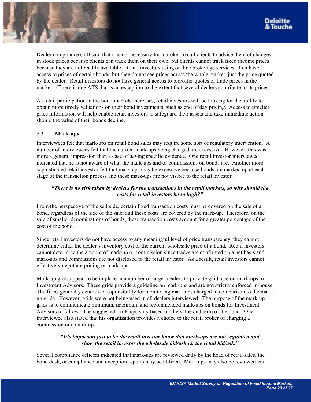Dealer compliance staff said that it is not necessary for a broker to call clients to advise them of changes in stock prices because clients can track them on their own, but clients cannot track fixed income prices because they are not readily available. Retail investors using on-line brokerage services often have access to prices of certain bonds, but they do not see prices across the whole market, just the price quoted by the dealer. Retail investors do not have general access to bid/offer quotes or trade prices in the market. (There is one ATS that is an exception to the extent that several dealers contribute to its prices.)

As retail participation in the bond markets increases, retail investors will be looking for the ability to obtain more timely valuations on their bond investments, such as end of day pricing. Access to timelier price information will help enable retail investors to safeguard their assets and take immediate action should the value of their bonds decline.

# **5.3 Mark-ups**

Interviewees felt that mark-ups on retail bond sales may require some sort of regulatory intervention. A number of interviewees felt that the current mark-ups being charged are excessive. However, this was more a general impression than a case of having specific evidence. One retail investor interviewed indicated that he is not aware of what the mark-ups and/or commissions on bonds are. Another more sophisticated retail investor felt that mark-ups may be excessive because bonds are marked up at each stage of the transaction process and these mark-ups are not visible to the retail investor.

# *ìThere is no risk taken by dealers for the transactions in the retail markets, so why should the costs for retail investors be so high?*"

From the perspective of the sell side, certain fixed transaction costs must be covered on the sale of a bond, regardless of the size of the sale, and these costs are covered by the mark-up. Therefore, on the sale of smaller denominations of bonds, these transaction costs account for a greater percentage of the cost of the bond.

Since retail investors do not have access to any meaningful level of price transparency, they cannot determine either the dealer's inventory cost or the current wholesale price of a bond. Retail investors cannot determine the amount of mark-up or commission since trades are confirmed on a net basis and mark-ups and commissions are not disclosed to the retail investor. As a result, retail investors cannot effectively negotiate pricing or mark-ups.

Mark-up grids appear to be in place in a number of larger dealers to provide guidance on mark-ups to Investment Advisors. These grids provide a guideline on mark-ups and are not strictly enforced in-house. The firms generally centralize responsibility for monitoring mark-ups charged in comparison to the markup grids. However, grids were not being used in all dealers interviewed. The purpose of the mark-up grids is to communicate minimum, maximum and recommended mark-ups on bonds for Investment Advisors to follow. The suggested mark-ups vary based on the value and term of the bond. One interviewee also stated that his organization provides a choice to the retail broker of charging a commission or a mark-up.

# *ìItís important just to let the retail investor know that mark-ups are not regulated and show the retail investor the wholesale bid/ask vs. the retail bid/ask.*"

Several compliance officers indicated that mark-ups are reviewed daily by the head of retail sales, the bond desk, or compliance and exception reports may be utilized. Mark-ups may also be reviewed via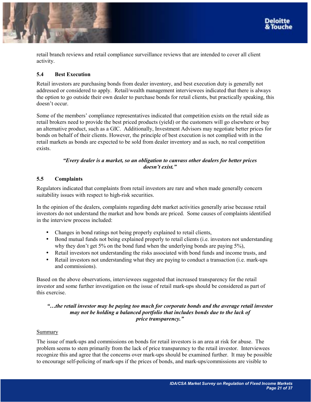



retail branch reviews and retail compliance surveillance reviews that are intended to cover all client activity.

# **5.4 Best Execution**

Retail investors are purchasing bonds from dealer inventory, and best execution duty is generally not addressed or considered to apply. Retail/wealth management interviewees indicated that there is always the option to go outside their own dealer to purchase bonds for retail clients, but practically speaking, this doesn't occur.

Some of the members' compliance representatives indicated that competition exists on the retail side as retail brokers need to provide the best priced products (yield) or the customers will go elsewhere or buy an alternative product, such as a GIC. Additionally, Investment Advisors may negotiate better prices for bonds on behalf of their clients. However, the principle of best execution is not complied with in the retail markets as bonds are expected to be sold from dealer inventory and as such, no real competition exists.

## *ìEvery dealer is a market, so an obligation to canvass other dealers for better prices*  doesn't exist."

# **5.5 Complaints**

Regulators indicated that complaints from retail investors are rare and when made generally concern suitability issues with respect to high-risk securities.

In the opinion of the dealers, complaints regarding debt market activities generally arise because retail investors do not understand the market and how bonds are priced. Some causes of complaints identified in the interview process included:

- Changes in bond ratings not being properly explained to retail clients,
- Bond mutual funds not being explained properly to retail clients (i.e. investors not understanding why they don't get 5% on the bond fund when the underlying bonds are paying  $5\%$ ),
- Retail investors not understanding the risks associated with bond funds and income trusts, and
- Retail investors not understanding what they are paying to conduct a transaction (i.e. mark-ups and commissions).

Based on the above observations, interviewees suggested that increased transparency for the retail investor and some further investigation on the issue of retail mark-ups should be considered as part of this exercise.

# *ìÖthe retail investor may be paying too much for corporate bonds and the average retail investor may not be holding a balanced portfolio that includes bonds due to the lack of price transparency.*"

## Summary

The issue of mark-ups and commissions on bonds for retail investors is an area at risk for abuse. The problem seems to stem primarily from the lack of price transparency to the retail investor. Interviewees recognize this and agree that the concerns over mark-ups should be examined further. It may be possible to encourage self-policing of mark-ups if the prices of bonds, and mark-ups/commissions are visible to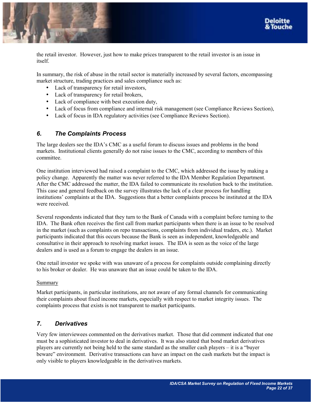<span id="page-21-0"></span>

the retail investor. However, just how to make prices transparent to the retail investor is an issue in itself.

In summary, the risk of abuse in the retail sector is materially increased by several factors, encompassing market structure, trading practices and sales compliance such as:

- Lack of transparency for retail investors,
- Lack of transparency for retail brokers,
- Lack of compliance with best execution duty,
- Lack of focus from compliance and internal risk management (see Compliance Reviews Section),
- Lack of focus in IDA regulatory activities (see Compliance Reviews Section).

# *6. The Complaints Process*

The large dealers see the IDA's CMC as a useful forum to discuss issues and problems in the bond markets. Institutional clients generally do not raise issues to the CMC, according to members of this committee.

One institution interviewed had raised a complaint to the CMC, which addressed the issue by making a policy change. Apparently the matter was never referred to the IDA Member Regulation Department. After the CMC addressed the matter, the IDA failed to communicate its resolution back to the institution. This case and general feedback on the survey illustrates the lack of a clear process for handling institutions' complaints at the IDA. Suggestions that a better complaints process be instituted at the IDA were received.

Several respondents indicated that they turn to the Bank of Canada with a complaint before turning to the IDA. The Bank often receives the first call from market participants when there is an issue to be resolved in the market (such as complaints on repo transactions, complaints from individual traders, etc.). Market participants indicated that this occurs because the Bank is seen as independent, knowledgeable and consultative in their approach to resolving market issues. The IDA is seen as the voice of the large dealers and is used as a forum to engage the dealers in an issue.

One retail investor we spoke with was unaware of a process for complaints outside complaining directly to his broker or dealer. He was unaware that an issue could be taken to the IDA.

## Summary

Market participants, in particular institutions, are not aware of any formal channels for communicating their complaints about fixed income markets, especially with respect to market integrity issues. The complaints process that exists is not transparent to market participants.

# *7. Derivatives*

Very few interviewees commented on the derivatives market. Those that did comment indicated that one must be a sophisticated investor to deal in derivatives. It was also stated that bond market derivatives players are currently not being held to the same standard as the smaller cash players  $-$  it is a "buyer" beware" environment. Derivative transactions can have an impact on the cash markets but the impact is only visible to players knowledgeable in the derivatives markets.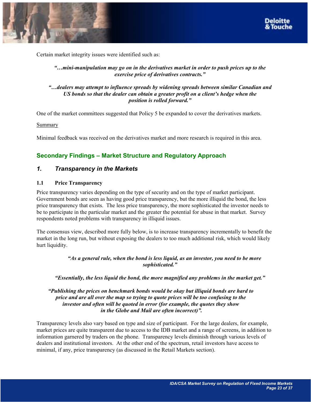<span id="page-22-0"></span>



Certain market integrity issues were identified such as:

# *ìÖmini-manipulation may go on in the derivatives market in order to push prices up to the exercise price of derivatives contracts.*"

# *ìÖdealers may attempt to influence spreads by widening spreads between similar Canadian and*  US bonds so that the dealer can obtain a greater profit on a client's hedge when the *position is rolled forward.*"

One of the market committees suggested that Policy 5 be expanded to cover the derivatives markets.

Summary

Minimal feedback was received on the derivatives market and more research is required in this area.

# **Secondary Findings – Market Structure and Regulatory Approach**

# *1. Transparency in the Markets*

## **1.1 Price Transparency**

Price transparency varies depending on the type of security and on the type of market participant. Government bonds are seen as having good price transparency, but the more illiquid the bond, the less price transparency that exists. The less price transparency, the more sophisticated the investor needs to be to participate in the particular market and the greater the potential for abuse in that market. Survey respondents noted problems with transparency in illiquid issues.

The consensus view, described more fully below, is to increase transparency incrementally to benefit the market in the long run, but without exposing the dealers to too much additional risk, which would likely hurt liquidity.

> *ìAs a general rule, when the bond is less liquid, as an investor, you need to be more sophisticated.î*

*<i><sup>a</sup>Essentially, the less liquid the bond, the more magnified any problems in the market get.***<sup>***n***</sup>** 

## *ìPublishing the prices on benchmark bonds would be okay but illiquid bonds are hard to price and are all over the map so trying to quote prices will be too confusing to the investor and often will be quoted in error (for example, the quotes they show in the Globe and Mail are often incorrect)"*.

Transparency levels also vary based on type and size of participant. For the large dealers, for example, market prices are quite transparent due to access to the IDB market and a range of screens, in addition to information garnered by traders on the phone. Transparency levels diminish through various levels of dealers and institutional investors. At the other end of the spectrum, retail investors have access to minimal, if any, price transparency (as discussed in the Retail Markets section).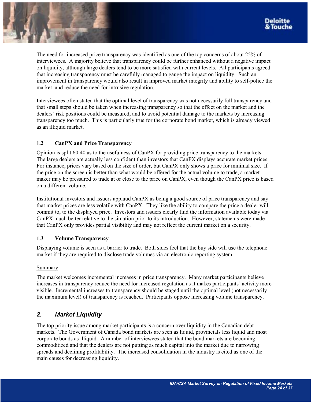<span id="page-23-0"></span>The need for increased price transparency was identified as one of the top concerns of about 25% of interviewees. A majority believe that transparency could be further enhanced without a negative impact on liquidity, although large dealers tend to be more satisfied with current levels. All participants agreed that increasing transparency must be carefully managed to gauge the impact on liquidity. Such an improvement in transparency would also result in improved market integrity and ability to self-police the market, and reduce the need for intrusive regulation.

Interviewees often stated that the optimal level of transparency was not necessarily full transparency and that small steps should be taken when increasing transparency so that the effect on the market and the dealers' risk positions could be measured, and to avoid potential damage to the markets by increasing transparency too much. This is particularly true for the corporate bond market, which is already viewed as an illiquid market.

# **1.2 CanPX and Price Transparency**

Opinion is split 60:40 as to the usefulness of CanPX for providing price transparency to the markets. The large dealers are actually less confident than investors that CanPX displays accurate market prices. For instance, prices vary based on the size of order, but CanPX only shows a price for minimal size. If the price on the screen is better than what would be offered for the actual volume to trade, a market maker may be pressured to trade at or close to the price on CanPX, even though the CanPX price is based on a different volume.

Institutional investors and issuers applaud CanPX as being a good source of price transparency and say that market prices are less volatile with CanPX. They like the ability to compare the price a dealer will commit to, to the displayed price. Investors and issuers clearly find the information available today via CanPX much better relative to the situation prior to its introduction. However, statements were made that CanPX only provides partial visibility and may not reflect the current market on a security.

## **1.3 Volume Transparency**

Displaying volume is seen as a barrier to trade. Both sides feel that the buy side will use the telephone market if they are required to disclose trade volumes via an electronic reporting system.

## Summary

The market welcomes incremental increases in price transparency. Many market participants believe increases in transparency reduce the need for increased regulation as it makes participants' activity more visible. Incremental increases to transparency should be staged until the optimal level (not necessarily the maximum level) of transparency is reached. Participants oppose increasing volume transparency.

# *2. Market Liquidity*

The top priority issue among market participants is a concern over liquidity in the Canadian debt markets. The Government of Canada bond markets are seen as liquid, provincials less liquid and most corporate bonds as illiquid. A number of interviewees stated that the bond markets are becoming commoditized and that the dealers are not putting as much capital into the market due to narrowing spreads and declining profitability. The increased consolidation in the industry is cited as one of the main causes for decreasing liquidity.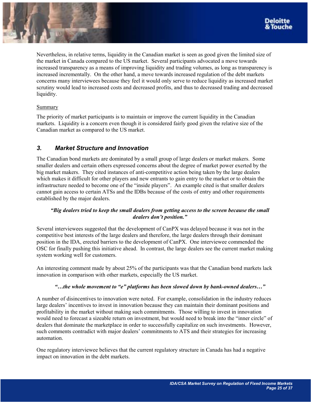<span id="page-24-0"></span>

Nevertheless, in relative terms, liquidity in the Canadian market is seen as good given the limited size of the market in Canada compared to the US market. Several participants advocated a move towards increased transparency as a means of improving liquidity and trading volumes, as long as transparency is increased incrementally. On the other hand, a move towards increased regulation of the debt markets concerns many interviewees because they feel it would only serve to reduce liquidity as increased market scrutiny would lead to increased costs and decreased profits, and thus to decreased trading and decreased liquidity.

# Summary

The priority of market participants is to maintain or improve the current liquidity in the Canadian markets. Liquidity is a concern even though it is considered fairly good given the relative size of the Canadian market as compared to the US market.

# *3. Market Structure and Innovation*

The Canadian bond markets are dominated by a small group of large dealers or market makers. Some smaller dealers and certain others expressed concerns about the degree of market power exerted by the big market makers. They cited instances of anti-competitive action being taken by the large dealers which makes it difficult for other players and new entrants to gain entry to the market or to obtain the infrastructure needed to become one of the "inside players". An example cited is that smaller dealers cannot gain access to certain ATSs and the IDBs because of the costs of entry and other requirements established by the major dealers.

# *ìBig dealers tried to keep the small dealers from getting access to the screen because the small dealers don't position.*"

Several interviewees suggested that the development of CanPX was delayed because it was not in the competitive best interests of the large dealers and therefore, the large dealers through their dominant position in the IDA, erected barriers to the development of CanPX. One interviewee commended the OSC for finally pushing this initiative ahead. In contrast, the large dealers see the current market making system working well for customers.

An interesting comment made by about 25% of the participants was that the Canadian bond markets lack innovation in comparison with other markets, especially the US market.

## *<sup>4</sup>ince whole movement to* <sup>*<sup>4</sup>e*</sup> *platforms has been slowed down by bank-owned dealers... <sup><i>n*</sup>

A number of disincentives to innovation were noted. For example, consolidation in the industry reduces large dealers' incentives to invest in innovation because they can maintain their dominant positions and profitability in the market without making such commitments. Those willing to invest in innovation would need to forecast a sizeable return on investment, but would need to break into the "inner circle" of dealers that dominate the marketplace in order to successfully capitalize on such investments. However, such comments contradict with major dealers' commitments to ATS and their strategies for increasing automation.

One regulatory interviewee believes that the current regulatory structure in Canada has had a negative impact on innovation in the debt markets.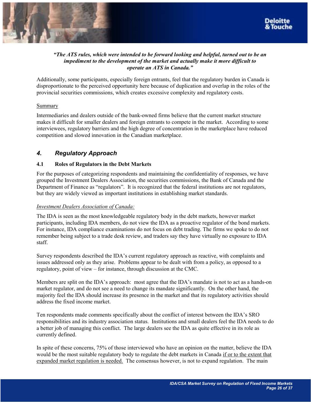<span id="page-25-0"></span>

# *ìThe ATS rules, which were intended to be forward looking and helpful, turned out to be an impediment to the development of the market and actually make it more difficult to operate an ATS in Canada.*"

Additionally, some participants, especially foreign entrants, feel that the regulatory burden in Canada is disproportionate to the perceived opportunity here because of duplication and overlap in the roles of the provincial securities commissions, which creates excessive complexity and regulatory costs.

# Summary

Intermediaries and dealers outside of the bank-owned firms believe that the current market structure makes it difficult for smaller dealers and foreign entrants to compete in the market. According to some interviewees, regulatory barriers and the high degree of concentration in the marketplace have reduced competition and slowed innovation in the Canadian marketplace.

# *4. Regulatory Approach*

# **4.1 Roles of Regulators in the Debt Markets**

For the purposes of categorizing respondents and maintaining the confidentiality of responses, we have grouped the Investment Dealers Association, the securities commissions, the Bank of Canada and the Department of Finance as "regulators". It is recognized that the federal institutions are not regulators, but they are widely viewed as important institutions in establishing market standards.

# *Investment Dealers Association of Canada:*

The IDA is seen as the most knowledgeable regulatory body in the debt markets, however market participants, including IDA members, do not view the IDA as a proactive regulator of the bond markets. For instance, IDA compliance examinations do not focus on debt trading. The firms we spoke to do not remember being subject to a trade desk review, and traders say they have virtually no exposure to IDA staff.

Survey respondents described the IDA's current regulatory approach as reactive, with complaints and issues addressed only as they arise. Problems appear to be dealt with from a policy, as opposed to a regulatory, point of view – for instance, through discussion at the CMC.

Members are split on the IDA's approach: most agree that the IDA's mandate is not to act as a hands-on market regulator, and do not see a need to change its mandate significantly. On the other hand, the majority feel the IDA should increase its presence in the market and that its regulatory activities should address the fixed income market.

Ten respondents made comments specifically about the conflict of interest between the IDA's SRO responsibilities and its industry association status. Institutions and small dealers feel the IDA needs to do a better job of managing this conflict. The large dealers see the IDA as quite effective in its role as currently defined.

In spite of these concerns, 75% of those interviewed who have an opinion on the matter, believe the IDA would be the most suitable regulatory body to regulate the debt markets in Canada if or to the extent that expanded market regulation is needed. The consensus however, is not to expand regulation. The main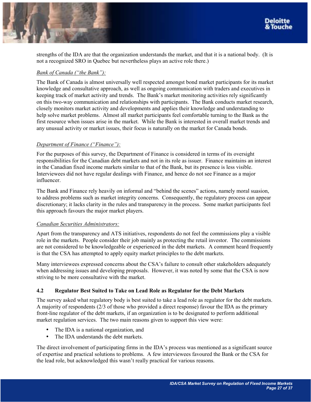

strengths of the IDA are that the organization understands the market, and that it is a national body. (It is not a recognized SRO in Quebec but nevertheless plays an active role there.)

# *Bank of Canada ("the Bank"):*

The Bank of Canada is almost universally well respected amongst bond market participants for its market knowledge and consultative approach, as well as ongoing communication with traders and executives in keeping track of market activity and trends. The Bank's market monitoring activities rely significantly on this two-way communication and relationships with participants. The Bank conducts market research, closely monitors market activity and developments and applies their knowledge and understanding to help solve market problems. Almost all market participants feel comfortable turning to the Bank as the first resource when issues arise in the market. While the Bank is interested in overall market trends and any unusual activity or market issues, their focus is naturally on the market for Canada bonds.

# *<u>Department of Finance ("Finance"):</u>*

For the purposes of this survey, the Department of Finance is considered in terms of its oversight responsibilities for the Canadian debt markets and not in its role as issuer. Finance maintains an interest in the Canadian fixed income markets similar to that of the Bank, but its presence is less visible. Interviewees did not have regular dealings with Finance, and hence do not see Finance as a major influencer.

The Bank and Finance rely heavily on informal and "behind the scenes" actions, namely moral suasion, to address problems such as market integrity concerns. Consequently, the regulatory process can appear discretionary; it lacks clarity in the rules and transparency in the process. Some market participants feel this approach favours the major market players.

## *Canadian Securities Administrators:*

Apart from the transparency and ATS initiatives, respondents do not feel the commissions play a visible role in the markets. People consider their job mainly as protecting the retail investor. The commissions are not considered to be knowledgeable or experienced in the debt markets. A comment heard frequently is that the CSA has attempted to apply equity market principles to the debt markets.

Many interviewees expressed concerns about the CSA's failure to consult other stakeholders adequately when addressing issues and developing proposals. However, it was noted by some that the CSA is now striving to be more consultative with the market.

# **4.2 Regulator Best Suited to Take on Lead Role as Regulator for the Debt Markets**

The survey asked what regulatory body is best suited to take a lead role as regulator for the debt markets. A majority of respondents (2/3 of those who provided a direct response) favour the IDA as the primary front-line regulator of the debt markets, if an organization is to be designated to perform additional market regulation services. The two main reasons given to support this view were:

- The IDA is a national organization, and
- The IDA understands the debt markets.

The direct involvement of participating firms in the IDA's process was mentioned as a significant source of expertise and practical solutions to problems. A few interviewees favoured the Bank or the CSA for the lead role, but acknowledged this wasn't really practical for various reasons.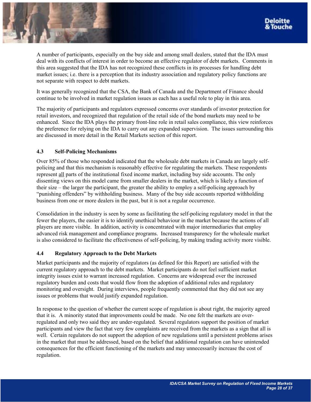A number of participants, especially on the buy side and among small dealers, stated that the IDA must deal with its conflicts of interest in order to become an effective regulator of debt markets. Comments in this area suggested that the IDA has not recognized these conflicts in its processes for handling debt market issues; i.e. there is a perception that its industry association and regulatory policy functions are not separate with respect to debt markets.

It was generally recognized that the CSA, the Bank of Canada and the Department of Finance should continue to be involved in market regulation issues as each has a useful role to play in this area.

The majority of participants and regulators expressed concerns over standards of investor protection for retail investors, and recognized that regulation of the retail side of the bond markets may need to be enhanced. Since the IDA plays the primary front-line role in retail sales compliance, this view reinforces the preference for relying on the IDA to carry out any expanded supervision. The issues surrounding this are discussed in more detail in the Retail Markets section of this report.

# **4.3 Self-Policing Mechanisms**

Over 85% of those who responded indicated that the wholesale debt markets in Canada are largely selfpolicing and that this mechanism is reasonably effective for regulating the markets. These respondents represent all parts of the institutional fixed income market, including buy side accounts. The only dissenting views on this model came from smaller dealers in the market, which is likely a function of their size – the larger the participant, the greater the ability to employ a self-policing approach by ìpunishing offendersî by withholding business. Many of the buy side accounts reported withholding business from one or more dealers in the past, but it is not a regular occurrence.

Consolidation in the industry is seen by some as facilitating the self-policing regulatory model in that the fewer the players, the easier it is to identify unethical behaviour in the market because the actions of all players are more visible. In addition, activity is concentrated with major intermediaries that employ advanced risk management and compliance programs. Increased transparency for the wholesale market is also considered to facilitate the effectiveness of self-policing, by making trading activity more visible.

## **4.4 Regulatory Approach to the Debt Markets**

Market participants and the majority of regulators (as defined for this Report) are satisfied with the current regulatory approach to the debt markets. Market participants do not feel sufficient market integrity issues exist to warrant increased regulation. Concerns are widespread over the increased regulatory burden and costs that would flow from the adoption of additional rules and regulatory monitoring and oversight. During interviews, people frequently commented that they did not see any issues or problems that would justify expanded regulation.

In response to the question of whether the current scope of regulation is about right, the majority agreed that it is. A minority stated that improvements could be made. No one felt the markets are overregulated and only two said they are under-regulated. Several regulators support the position of market participants and view the fact that very few complaints are received from the markets as a sign that all is well. Certain regulators do not support the adoption of new regulations until a persistent problems arises in the market that must be addressed, based on the belief that additional regulation can have unintended consequences for the efficient functioning of the markets and may unnecessarily increase the cost of regulation.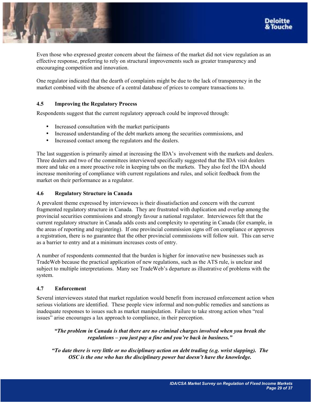



Even those who expressed greater concern about the fairness of the market did not view regulation as an effective response, preferring to rely on structural improvements such as greater transparency and encouraging competition and innovation.

One regulator indicated that the dearth of complaints might be due to the lack of transparency in the market combined with the absence of a central database of prices to compare transactions to.

# **4.5 Improving the Regulatory Process**

Respondents suggest that the current regulatory approach could be improved through:

- Increased consultation with the market participants
- Increased understanding of the debt markets among the securities commissions, and
- Increased contact among the regulators and the dealers.

The last suggestion is primarily aimed at increasing the IDA's involvement with the markets and dealers. Three dealers and two of the committees interviewed specifically suggested that the IDA visit dealers more and take on a more proactive role in keeping tabs on the markets. They also feel the IDA should increase monitoring of compliance with current regulations and rules, and solicit feedback from the market on their performance as a regulator.

# **4.6 Regulatory Structure in Canada**

A prevalent theme expressed by interviewees is their dissatisfaction and concern with the current fragmented regulatory structure in Canada. They are frustrated with duplication and overlap among the provincial securities commissions and strongly favour a national regulator. Interviewees felt that the current regulatory structure in Canada adds costs and complexity to operating in Canada (for example, in the areas of reporting and registering). If one provincial commission signs off on compliance or approves a registration, there is no guarantee that the other provincial commissions will follow suit. This can serve as a barrier to entry and at a minimum increases costs of entry.

A number of respondents commented that the burden is higher for innovative new businesses such as TradeWeb because the practical application of new regulations, such as the ATS rule, is unclear and subject to multiple interpretations. Many see TradeWeb's departure as illustrative of problems with the system.

## **4.7 Enforcement**

Several interviewees stated that market regulation would benefit from increased enforcement action when serious violations are identified. These people view informal and non-public remedies and sanctions as inadequate responses to issues such as market manipulation. Failure to take strong action when "real issues" arise encourages a lax approach to compliance, in their perception.

*ìThe problem in Canada is that there are no criminal charges involved when you break the regulations – you just pay a fine and you're back in business.*"

*ìTo date there is very little or no disciplinary action on debt trading (e.g. wrist slapping). The OSC is the one who has the disciplinary power but doesn't have the knowledge.*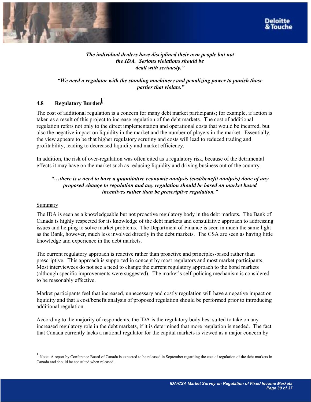



# *The individual dealers have disciplined their own people but not the IDA. Serious violations should be*  dealt with seriously."

# *ìWe need a regulator with the standing machinery and penalizing power to punish those parties that violate.*"

# **4.8** Regulatory Burden<sup>1</sup>

The cost of additional regulation is a concern for many debt market participants; for example, if action is taken as a result of this project to increase regulation of the debt markets. The cost of additional regulation refers not only to the direct implementation and operational costs that would be incurred, but also the negative impact on liquidity in the market and the number of players in the market. Essentially, the view appears to be that higher regulatory scrutiny and costs will lead to reduced trading and profitability, leading to decreased liquidity and market efficiency.

In addition, the risk of over-regulation was often cited as a regulatory risk, because of the detrimental effects it may have on the market such as reducing liquidity and driving business out of the country.

# *ìÖthere is a need to have a quantitative economic analysis (cost/benefit analysis) done of any proposed change to regulation and any regulation should be based on market based incentives rather than be prescriptive regulation.*"

## Summary

l

The IDA is seen as a knowledgeable but not proactive regulatory body in the debt markets. The Bank of Canada is highly respected for its knowledge of the debt markets and consultative approach to addressing issues and helping to solve market problems. The Department of Finance is seen in much the same light as the Bank, however, much less involved directly in the debt markets. The CSA are seen as having little knowledge and experience in the debt markets.

The current regulatory approach is reactive rather than proactive and principles-based rather than prescriptive. This approach is supported in concept by most regulators and most market participants. Most interviewees do not see a need to change the current regulatory approach to the bond markets (although specific improvements were suggested). The market's self-policing mechanism is considered to be reasonably effective.

Market participants feel that increased, unnecessary and costly regulation will have a negative impact on liquidity and that a cost/benefit analysis of proposed regulation should be performed prior to introducing additional regulation.

According to the majority of respondents, the IDA is the regulatory body best suited to take on any increased regulatory role in the debt markets, if it is determined that more regulation is needed. The fact that Canada currently lacks a national regulator for the capital markets is viewed as a major concern by

 $\frac{1}{1}$  Note: A report by Conference Board of Canada is expected to be released in September regarding the cost of regulation of the debt markets in Canada and should be consulted when released.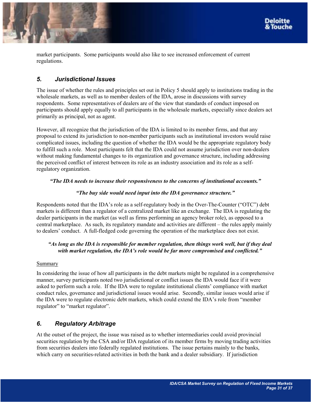<span id="page-30-0"></span>



market participants. Some participants would also like to see increased enforcement of current regulations.

# *5. Jurisdictional Issues*

The issue of whether the rules and principles set out in Policy 5 should apply to institutions trading in the wholesale markets, as well as to member dealers of the IDA, arose in discussions with survey respondents. Some representatives of dealers are of the view that standards of conduct imposed on participants should apply equally to all participants in the wholesale markets, especially since dealers act primarily as principal, not as agent.

However, all recognize that the jurisdiction of the IDA is limited to its member firms, and that any proposal to extend its jurisdiction to non-member participants such as institutional investors would raise complicated issues, including the question of whether the IDA would be the appropriate regulatory body to fulfill such a role. Most participants felt that the IDA could not assume jurisdiction over non-dealers without making fundamental changes to its organization and governance structure, including addressing the perceived conflict of interest between its role as an industry association and its role as a selfregulatory organization.

# <sup>*a*The IDA needs to increase their responsiveness to the concerns of institutional accounts."</sup>

# <sup>*aThe buy side would need input into the IDA governance structure.*"</sup>

Respondents noted that the IDA's role as a self-regulatory body in the Over-The-Counter ("OTC") debt markets is different than a regulator of a centralized market like an exchange. The IDA is regulating the dealer participants in the market (as well as firms performing an agency broker role), as opposed to a central marketplace. As such, its regulatory mandate and activities are different – the rules apply mainly to dealers' conduct. A full-fledged code governing the operation of the marketplace does not exist.

# *ìAs long as the IDA is responsible for member regulation, then things work well, but if they deal*  with market regulation, the IDA's role would be far more compromised and conflicted."

## Summary

In considering the issue of how all participants in the debt markets might be regulated in a comprehensive manner, survey participants noted two jurisdictional or conflict issues the IDA would face if it were asked to perform such a role. If the IDA were to regulate institutional clients' compliance with market conduct rules, governance and jurisdictional issues would arise. Secondly, similar issues would arise if the IDA were to regulate electronic debt markets, which could extend the IDA's role from "member" regulator" to "market regulator".

# *6. Regulatory Arbitrage*

At the outset of the project, the issue was raised as to whether intermediaries could avoid provincial securities regulation by the CSA and/or IDA regulation of its member firms by moving trading activities from securities dealers into federally regulated institutions. The issue pertains mainly to the banks, which carry on securities-related activities in both the bank and a dealer subsidiary. If jurisdiction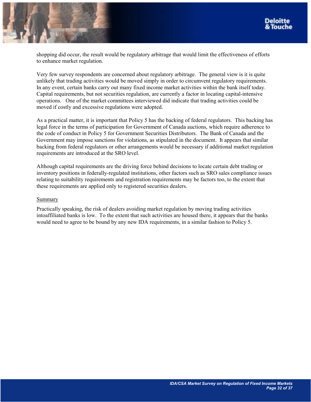

shopping did occur, the result would be regulatory arbitrage that would limit the effectiveness of efforts to enhance market regulation.

Very few survey respondents are concerned about regulatory arbitrage. The general view is it is quite unlikely that trading activities would be moved simply in order to circumvent regulatory requirements. In any event, certain banks carry out many fixed income market activities within the bank itself today. Capital requirements, but not securities regulation, are currently a factor in locating capital-intensive operations. One of the market committees interviewed did indicate that trading activities could be moved if costly and excessive regulations were adopted.

As a practical matter, it is important that Policy 5 has the backing of federal regulators. This backing has legal force in the terms of participation for Government of Canada auctions, which require adherence to the code of conduct in Policy 5 for Government Securities Distributors. The Bank of Canada and the Government may impose sanctions for violations, as stipulated in the document. It appears that similar backing from federal regulators or other arrangements would be necessary if additional market regulation requirements are introduced at the SRO level.

Although capital requirements are the driving force behind decisions to locate certain debt trading or inventory positions in federally-regulated institutions, other factors such as SRO sales compliance issues relating to suitability requirements and registration requirements may be factors too, to the extent that these requirements are applied only to registered securities dealers.

#### Summary

Practically speaking, the risk of dealers avoiding market regulation by moving trading activities intoaffiliated banks is low. To the extent that such activities are housed there, it appears that the banks would need to agree to be bound by any new IDA requirements, in a similar fashion to Policy 5.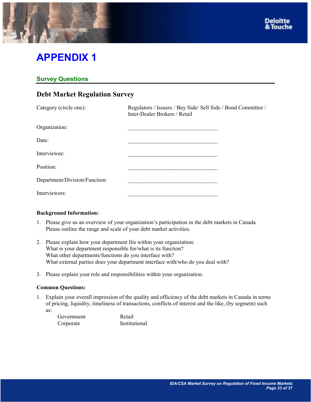<span id="page-32-0"></span>

# **APPENDIX 1**

# **Survey Questions**

# **Debt Market Regulation Survey**

| Category (circle one):        | Regulators / Issuers / Buy Side/ Sell Side / Bond Committee /<br>Inter-Dealer Brokers / Retail |  |
|-------------------------------|------------------------------------------------------------------------------------------------|--|
| Organization:                 |                                                                                                |  |
| Date:                         |                                                                                                |  |
| Interviewee:                  |                                                                                                |  |
| Position:                     |                                                                                                |  |
| Department/Division/Function: |                                                                                                |  |
| Interviewers:                 |                                                                                                |  |

## **Background Information:**

- 1. Please give us an overview of your organization's participation in the debt markets in Canada Please outline the range and scale of your debt market activities.
- 2. Please explain how your department fits within your organization: What is your department responsible for/what is its function? What other departments/functions do you interface with? What external parties does your department interface with/who do you deal with?
- 3. Please explain your role and responsibilities within your organization.

# **Common Questions:**

1. Explain your overall impression of the quality and efficiency of the debt markets in Canada in terms of pricing, liquidity, timeliness of transactions, conflicts of interest and the like, (by segment) such as:

| Government | Retail        |
|------------|---------------|
| Corporate  | Institutional |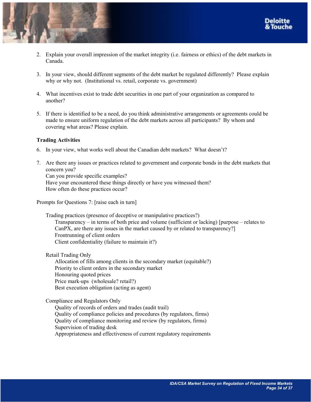



- 2. Explain your overall impression of the market integrity (i.e. fairness or ethics) of the debt markets in Canada.
- 3. In your view, should different segments of the debt market be regulated differently? Please explain why or why not. (Institutional vs. retail, corporate vs. government)
- 4. What incentives exist to trade debt securities in one part of your organization as compared to another?
- 5. If there is identified to be a need, do you think administrative arrangements or agreements could be made to ensure uniform regulation of the debt markets across all participants? By whom and covering what areas? Please explain.

## **Trading Activities**

- 6. In your view, what works well about the Canadian debt markets? What doesnít?
- 7. Are there any issues or practices related to government and corporate bonds in the debt markets that concern you? Can you provide specific examples? Have your encountered these things directly or have you witnessed them? How often do these practices occur?

Prompts for Questions 7: [raise each in turn]

Trading practices (presence of deceptive or manipulative practices?) Transparency – in terms of both price and volume (sufficient or lacking) [purpose – relates to CanPX, are there any issues in the market caused by or related to transparency?] Frontrunning of client orders Client confidentiality (failure to maintain it?)

Retail Trading Only

Allocation of fills among clients in the secondary market (equitable?) Priority to client orders in the secondary market Honouring quoted prices Price mark-ups (wholesale? retail?) Best execution obligation (acting as agent)

Compliance and Regulators Only

Quality of records of orders and trades (audit trail) Quality of compliance policies and procedures (by regulators, firms) Quality of compliance monitoring and review (by regulators, firms) Supervision of trading desk Appropriateness and effectiveness of current regulatory requirements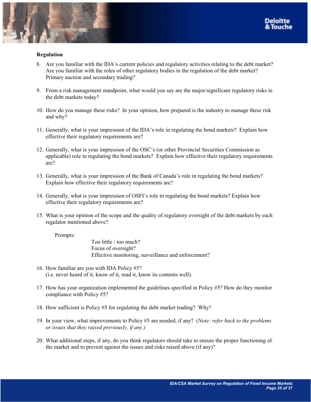

## **Regulation**

- 8. Are you familiar with the IDAís current policies and regulatory activities relating to the debt market? Are you familiar with the roles of other regulatory bodies in the regulation of the debt market? Primary auction and secondary trading?
- 9. From a risk management standpoint, what would you say are the major/significant regulatory risks in the debt markets today?
- 10. How do you manage these risks? In your opinion, how prepared is the industry to manage these risk and why?
- 11. Generally, what is your impression of the IDA's role in regulating the bond markets? Explain how effective their regulatory requirements are?
- 12. Generally, what is your impression of the OSC's (or other Provincial Securities Commission as applicable) role in regulating the bond markets? Explain how effective their regulatory requirements are?
- 13. Generally, what is your impression of the Bank of Canada's role in regulating the bond markets? Explain how effective their regulatory requirements are?
- 14. Generally, what is your impression of OSFI's role in regulating the bond markets? Explain how effective their regulatory requirements are?
- 15. What is your opinion of the scope and the quality of regulatory oversight of the debt markets by each regulator mentioned above?

Prompts:

Too little / too much? Focus of oversight? Effective monitoring, surveillance and enforcement?

- 16. How familiar are you with IDA Policy #5? (i.e. never heard of it, know of it, read it, know its contents well).
- 17. How has your organization implemented the guidelines specified in Policy #5? How do they monitor compliance with Policy #5?
- 18. How sufficient is Policy #5 for regulating the debt market trading? Why?
- 19. In your view, what improvements to Policy #5 are needed, if any? (*Note: refer back to the problems or issues that they raised previously, if any.)*
- 20. What additional steps, if any, do you think regulators should take to ensure the proper functioning of the market and to prevent against the issues and risks raised above (if any)?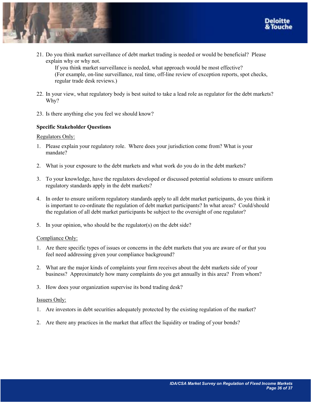



21. Do you think market surveillance of debt market trading is needed or would be beneficial? Please explain why or why not.

If you think market surveillance is needed, what approach would be most effective? (For example, on-line surveillance, real time, off-line review of exception reports, spot checks, regular trade desk reviews.)

- 22. In your view, what regulatory body is best suited to take a lead role as regulator for the debt markets? Why?
- 23. Is there anything else you feel we should know?

## **Specific Stakeholder Questions**

#### Regulators Only:

- 1. Please explain your regulatory role. Where does your jurisdiction come from? What is your mandate?
- 2. What is your exposure to the debt markets and what work do you do in the debt markets?
- 3. To your knowledge, have the regulators developed or discussed potential solutions to ensure uniform regulatory standards apply in the debt markets?
- 4. In order to ensure uniform regulatory standards apply to all debt market participants, do you think it is important to co-ordinate the regulation of debt market participants? In what areas? Could/should the regulation of all debt market participants be subject to the oversight of one regulator?
- 5. In your opinion, who should be the regulator(s) on the debt side?

#### Compliance Only:

- 1. Are there specific types of issues or concerns in the debt markets that you are aware of or that you feel need addressing given your compliance background?
- 2. What are the major kinds of complaints your firm receives about the debt markets side of your business? Approximately how many complaints do you get annually in this area? From whom?
- 3. How does your organization supervise its bond trading desk?

#### Issuers Only:

- 1. Are investors in debt securities adequately protected by the existing regulation of the market?
- 2. Are there any practices in the market that affect the liquidity or trading of your bonds?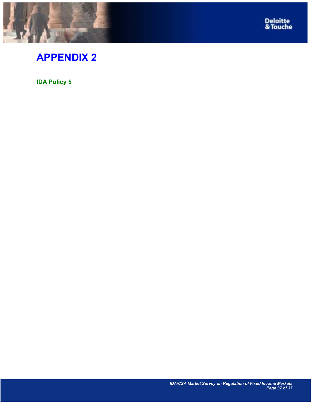<span id="page-36-0"></span>



# **APPENDIX 2**

**IDA Policy 5**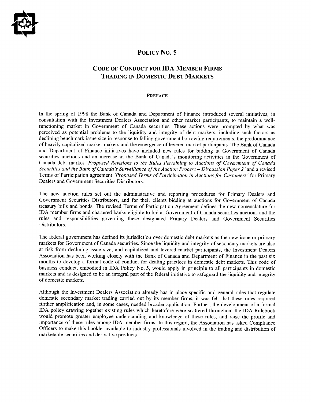

# POLICY NO. 5

# **CODE OF CONDUCT FOR IDA MEMBER FIRMS TRADING IN DOMESTIC DEBT MARKETS**

#### **PREFACE**

In the spring of 1998 the Bank of Canada and Department of Finance introduced several initiatives, in consultation with the Investment Dealers Association and other market participants, to maintain a wellfunctioning market in Government of Canada securities. These actions were prompted by what was perceived as potential problems to the liquidity and integrity of debt markets, including such factors as declining benchmark issue size in response to falling government borrowing requirements, the predominance of heavily capitalized market-makers and the emergence of levered market participants. The Bank of Canada and Department of Finance initiatives have included new rules for bidding at Government of Canada securities auctions and an increase in the Bank of Canada's monitoring activities in the Government of Canada debt market 'Proposed Revisions to the Rules Pertaining to Auctions of Government of Canada Securities and the Bank of Canada's Surveillance of the Auction Process – Discussion Paper 2' and a revised Terms of Participation agreement 'Proposed Terms of Participation in Auctions for Customers' for Primary Dealers and Government Securities Distributors.

The new auction rules set out the administrative and reporting procedures for Primary Dealers and Government Securities Distributors, and for their clients bidding at auctions for Government of Canada treasury bills and bonds. The revised Terms of Participation Agreement defines the new nomenclature for IDA member firms and chartered banks eligible to bid at Government of Canada securities auctions and the rules and responsibilities governing these designated Primary Dealers and Government Securities Distributors.

The federal government has defined its jurisdiction over domestic debt markets as the new issue or primary markets for Government of Canada securities. Since the liquidity and integrity of secondary markets are also at risk from declining issue size, and capitalized and levered market participants, the Investment Dealers Association has been working closely with the Bank of Canada and Department of Finance in the past six months to develop a formal code of conduct for dealing practices in domestic debt markets. This code of business conduct, embodied in IDA Policy No. 5, would apply in principle to all participants in domestic markets and is designed to be an integral part of the federal initiative to safeguard the liquidity and integrity of domestic markets.

Although the Investment Dealers Association already has in place specific and general rules that regulate domestic secondary market trading carried out by its member firms, it was felt that these rules required further amplification and, in some cases, needed broader application. Further, the development of a formal IDA policy drawing together existing rules which heretofore were scattered throughout the IDA Rulebook would promote greater employee understanding and knowledge of these rules, and raise the profile and importance of these rules among IDA member firms. In this regard, the Association has asked Compliance Officers to make this booklet available to industry professionals involved in the trading and distribution of marketable securities and derivative products.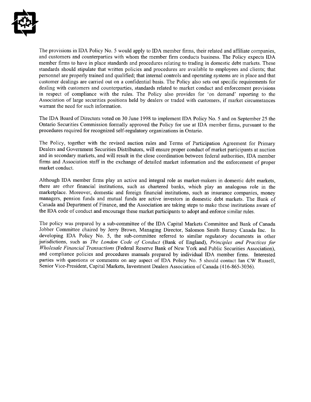

The provisions in IDA Policy No. 5 would apply to IDA member firms, their related and affiliate companies, and customers and counterparties with whom the member firm conducts business. The Policy expects IDA member firms to have in place standards and procedures relating to trading in domestic debt markets. These standards should stipulate that written policies and procedures are available to employees and clients; that personnel are properly trained and qualified; that internal controls and operating systems are in place and that customer dealings are carried out on a confidential basis. The Policy also sets out specific requirements for dealing with customers and counterparties, standards related to market conduct and enforcement provisions in respect of compliance with the rules. The Policy also provides for 'on demand' reporting to the Association of large securities positions held by dealers or traded with customers, if market circumstances warrant the need for such information.

The IDA Board of Directors voted on 30 June 1998 to implement IDA Policy No. 5 and on September 25 the Ontario Securities Commission formally approved the Policy for use at IDA member firms, pursuant to the procedures required for recognized self-regulatory organizations in Ontario.

The Policy, together with the revised auction rules and Terms of Participation Agreement for Primary Dealers and Government Securities Distributors, will ensure proper conduct of market participants at auction and in secondary markets, and will result in the close coordination between federal authorities, IDA member firms and Association staff in the exchange of detailed market information and the enforcement of proper market conduct.

Although IDA member firms play an active and integral role as market-makers in domestic debt markets, there are other financial institutions, such as chartered banks, which play an analogous role in the marketplace. Moreover, domestic and foreign financial institutions, such as insurance companies, money managers, pension funds and mutual funds are active investors in domestic debt markets. The Bank of Canada and Department of Finance, and the Association are taking steps to make these institutions aware of the IDA code of conduct and encourage these market participants to adopt and enforce similar rules.

The policy was prepared by a sub-committee of the IDA Capital Markets Committee and Bank of Canada Jobber Committee chaired by Jerry Brown, Managing Director, Salomon Smith Barney Canada Inc. In developing IDA Policy No. 5, the sub-committee referred to similar regulatory documents in other jurisdictions, such as The London Code of Conduct (Bank of England), Principles and Practices for Wholesale Financial Transactions (Federal Reserve Bank of New York and Public Securities Association). and compliance policies and procedures manuals prepared by individual IDA member firms. Interested parties with questions or comments on any aspect of IDA Policy No. 5 should contact Ian CW Russell, Senior Vice-President, Capital Markets, Investment Dealers Association of Canada (416-865-3036).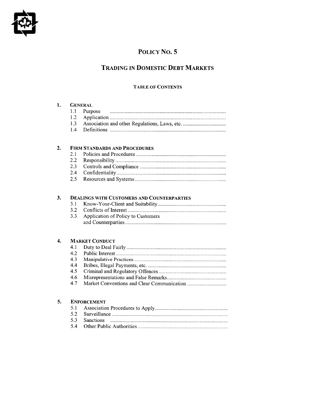

# POLICY No. 5

# **TRADING IN DOMESTIC DEBT MARKETS**

# **TABLE OF CONTENTS**

| 1. |                    | <b>GENERAL</b>                                    |  |  |
|----|--------------------|---------------------------------------------------|--|--|
|    | 1.1                | Purpose                                           |  |  |
|    | 1.2                |                                                   |  |  |
|    | 1.3                |                                                   |  |  |
|    | 1.4                |                                                   |  |  |
|    |                    |                                                   |  |  |
| 2. |                    | <b>FIRM STANDARDS AND PROCEDURES</b>              |  |  |
|    | 2.1                |                                                   |  |  |
|    | 2.2                |                                                   |  |  |
|    | 2.3                |                                                   |  |  |
|    | 2.4                |                                                   |  |  |
|    | 2.5                |                                                   |  |  |
|    |                    |                                                   |  |  |
| 3. |                    |                                                   |  |  |
|    | 3.1                | <b>DEALINGS WITH CUSTOMERS AND COUNTERPARTIES</b> |  |  |
|    | 3.2                |                                                   |  |  |
|    | 3.3                |                                                   |  |  |
|    |                    | Application of Policy to Customers                |  |  |
|    |                    |                                                   |  |  |
| 4. |                    | <b>MARKET CONDUCT</b>                             |  |  |
|    | 4.1                |                                                   |  |  |
|    | 4.2                |                                                   |  |  |
|    | 4.3                |                                                   |  |  |
|    | 4.4                |                                                   |  |  |
|    | 4.5                |                                                   |  |  |
|    | 4.6                |                                                   |  |  |
|    | 4.7                |                                                   |  |  |
|    |                    |                                                   |  |  |
| 5. | <b>ENFORCEMENT</b> |                                                   |  |  |
|    | 5.1                |                                                   |  |  |
|    | 5.2                |                                                   |  |  |
|    | 5.3                | <b>Sanctions</b>                                  |  |  |
|    | 5.4                |                                                   |  |  |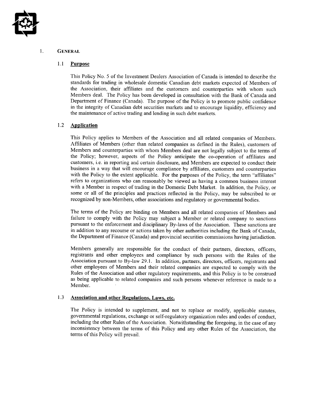

#### 1. **GENERAL**

#### $1.1$ **Purpose**

This Policy No. 5 of the Investment Dealers Association of Canada is intended to describe the standards for trading in wholesale domestic Canadian debt markets expected of Members of the Association, their affiliates and the customers and counterparties with whom such Members deal. The Policy has been developed in consultation with the Bank of Canada and Department of Finance (Canada). The purpose of the Policy is to promote public confidence in the integrity of Canadian debt securities markets and to encourage liquidity, efficiency and the maintenance of active trading and lending in such debt markets.

#### $1.2$ **Application**

This Policy applies to Members of the Association and all related companies of Members. Affiliates of Members (other than related companies as defined in the Rules), customers of Members and counterparties with whom Members deal are not legally subject to the terms of the Policy; however, aspects of the Policy anticipate the co-operation of affiliates and customers, *i.e.* in reporting and certain disclosure, and Members are expected to conduct their business in a way that will encourage compliance by affiliates, customers and counterparties with the Policy to the extent applicable. For the purposes of the Policy, the term "affiliates" refers to organizations who can reasonably be viewed as having a common business interest with a Member in respect of trading in the Domestic Debt Market. In addition, the Policy, or some or all of the principles and practices reflected in the Policy, may be subscribed to or recognized by non-Members, other associations and regulatory or governmental bodies.

The terms of the Policy are binding on Members and all related companies of Members and failure to comply with the Policy may subject a Member or related company to sanctions pursuant to the enforcement and disciplinary By-laws of the Association. These sanctions are in addition to any recourse or actions taken by other authorities including the Bank of Canada, the Department of Finance (Canada) and provincial securities commissions having jurisdiction.

Members generally are responsible for the conduct of their partners, directors, officers, registrants and other employees and compliance by such persons with the Rules of the Association pursuant to By-law 29.1. In addition, partners, directors, officers, registrants and other employees of Members and their related companies are expected to comply with the Rules of the Association and other regulatory requirements, and this Policy is to be construed as being applicable to related companies and such persons whenever reference is made to a Member.

#### 1.3 **Association and other Regulations, Laws, etc.**

The Policy is intended to supplement, and not to replace or modify, applicable statutes, governmental regulations, exchange or self-regulatory organization rules and codes of conduct, including the other Rules of the Association. Notwithstanding the foregoing, in the case of any inconsistency between the terms of this Policy and any other Rules of the Association, the terms of this Policy will prevail.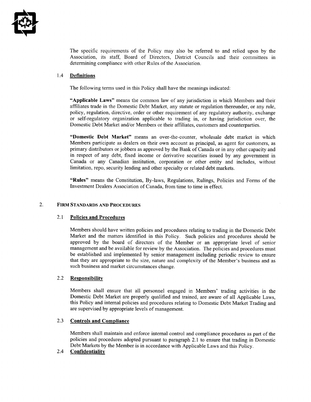

The specific requirements of the Policy may also be referred to and relied upon by the Association, its staff, Board of Directors, District Councils and their committees in determining compliance with other Rules of the Association.

#### **Definitions** 1.4

The following terms used in this Policy shall have the meanings indicated:

"Applicable Laws" means the common law of any jurisdiction in which Members and their affiliates trade in the Domestic Debt Market, any statute or regulation thereunder, or any rule, policy, regulation, directive, order or other requirement of any regulatory authority, exchange or self-regulatory organization applicable to trading in, or having jurisdiction over, the Domestic Debt Market and/or Members or their affiliates, customers and counterparties.

"Domestic Debt Market" means an over-the-counter, wholesale debt market in which Members participate as dealers on their own account as principal, as agent for customers, as primary distributors or jobbers as approved by the Bank of Canada or in any other capacity and in respect of any debt, fixed income or derivative securities issued by any government in Canada or any Canadian institution, corporation or other entity and includes, without limitation, repo, security lending and other specialty or related debt markets.

"Rules" means the Constitution, By-laws, Regulations, Rulings, Policies and Forms of the Investment Dealers Association of Canada, from time to time in effect.

#### $\overline{2}$ . **FIRM STANDARDS AND PROCEDURES**

#### $2.1$ **Policies and Procedures**

Members should have written policies and procedures relating to trading in the Domestic Debt Market and the matters identified in this Policy. Such policies and procedures should be approved by the board of directors of the Member or an appropriate level of senior management and be available for review by the Association. The policies and procedures must be established and implemented by senior management including periodic review to ensure that they are appropriate to the size, nature and complexity of the Member's business and as such business and market circumstances change.

#### $2.2$ **Responsibility**

Members shall ensure that all personnel engaged in Members' trading activities in the Domestic Debt Market are properly qualified and trained, are aware of all Applicable Laws, this Policy and internal policies and procedures relating to Domestic Debt Market Trading and are supervised by appropriate levels of management.

#### $2.3$ **Controls and Compliance**

Members shall maintain and enforce internal control and compliance procedures as part of the policies and procedures adopted pursuant to paragraph 2.1 to ensure that trading in Domestic Debt Markets by the Member is in accordance with Applicable Laws and this Policy.

#### $2.4^{\circ}$ Confidentiality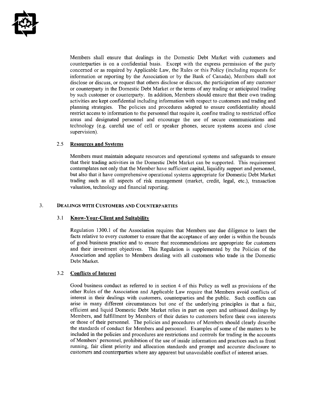

Members shall ensure that dealings in the Domestic Debt Market with customers and counterparties is on a confidential basis. Except with the express permission of the party concerned or as required by Applicable Law, the Rules or this Policy (including requests for information or reporting by the Association or by the Bank of Canada), Members shall not disclose or discuss, or request that others disclose or discuss, the participation of any customer or counterparty in the Domestic Debt Market or the terms of any trading or anticipated trading by such customer or counterparty. In addition, Members should ensure that their own trading activities are kept confidential including information with respect to customers and trading and planning strategies. The policies and procedures adopted to ensure confidentiality should restrict access to information to the personnel that require it, confine trading to restricted office areas and designated personnel and encourage the use of secure communications and technology (e.g. careful use of cell or speaker phones, secure systems access and close supervision).

#### 2.5 **Resources and Systems**

Members must maintain adequate resources and operational systems and safeguards to ensure that their trading activities in the Domestic Debt Market can be supported. This requirement contemplates not only that the Member have sufficient capital, liquidity support and personnel, but also that it have comprehensive operational systems appropriate for Domestic Debt Market trading such as all aspects of risk management (market, credit, legal, etc.), transaction valuation, technology and financial reporting.

#### $\overline{3}$ . **DEALINGS WITH CUSTOMERS AND COUNTERPARTIES**

#### $3.1$ **Know-Your-Client and Suitability**

Regulation 1300.1 of the Association requires that Members use due diligence to learn the facts relative to every customer to ensure that the acceptance of any order is within the bounds of good business practice and to ensure that recommendations are appropriate for customers and their investment objectives. This Regulation is supplemented by the Policies of the Association and applies to Members dealing with all customers who trade in the Domestic Debt Market.

#### $3.2$ **Conflicts of Interest**

Good business conduct as referred to in section 4 of this Policy as well as provisions of the other Rules of the Association and Applicable Law require that Members avoid conflicts of interest in their dealings with customers, counterparties and the public. Such conflicts can arise in many different circumstances but one of the underlying principles is that a fair, efficient and liquid Domestic Debt Market relies in part on open and unbiased dealings by Members, and fulfillment by Members of their duties to customers before their own interests or those of their personnel. The policies and procedures of Members should clearly describe the standards of conduct for Members and personnel. Examples of some of the matters to be included in the policies and procedures are restrictions and controls for trading in the accounts of Members' personnel, prohibition of the use of inside information and practices such as front running, fair client priority and allocation standards and prompt and accurate disclosure to customers and counterparties where any apparent but unavoidable conflict of interest arises.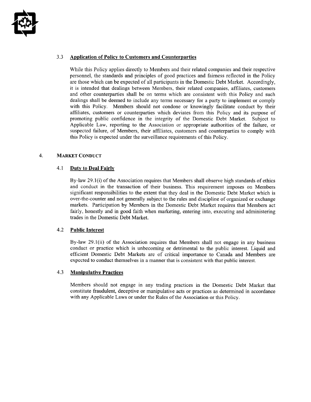

#### $3.3$ **Application of Policy to Customers and Counterparties**

While this Policy applies directly to Members and their related companies and their respective personnel, the standards and principles of good practices and fairness reflected in the Policy are those which can be expected of all participants in the Domestic Debt Market. Accordingly, it is intended that dealings between Members, their related companies, affiliates, customers and other counterparties shall be on terms which are consistent with this Policy and such dealings shall be deemed to include any terms necessary for a party to implement or comply with this Policy. Members should not condone or knowingly facilitate conduct by their affiliates, customers or counterparties which deviates from this Policy and its purpose of promoting public confidence in the integrity of the Domestic Debt Market. Subject to Applicable Law, reporting to the Association or appropriate authorities of the failure, or suspected failure, of Members, their affiliates, customers and counterparties to comply with this Policy is expected under the surveillance requirements of this Policy.

#### $\overline{4}$ . **MARKET CONDUCT**

#### $4.1$ **Duty to Deal Fairly**

By-law 29.1(i) of the Association requires that Members shall observe high standards of ethics and conduct in the transaction of their business. This requirement imposes on Members significant responsibilities to the extent that they deal in the Domestic Debt Market which is over-the-counter and not generally subject to the rules and discipline of organized or exchange markets. Participation by Members in the Domestic Debt Market requires that Members act fairly, honestly and in good faith when marketing, entering into, executing and administering trades in the Domestic Debt Market.

#### $4.2$ **Public Interest**

By-law  $29.1(ii)$  of the Association requires that Members shall not engage in any business conduct or practice which is unbecoming or detrimental to the public interest. Liquid and efficient Domestic Debt Markets are of critical importance to Canada and Members are expected to conduct themselves in a manner that is consistent with that public interest.

#### 4.3 **Manipulative Practices**

Members should not engage in any trading practices in the Domestic Debt Market that constitute fraudulent, deceptive or manipulative acts or practices as determined in accordance with any Applicable Laws or under the Rules of the Association or this Policy.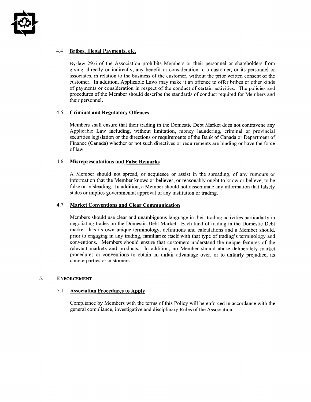

#### 4.4 Bribes, Illegal Payments, etc.

By-law 29.6 of the Association prohibits Members or their personnel or shareholders from giving, directly or indirectly, any benefit or consideration to a customer, or its personnel or associates, in relation to the business of the customer, without the prior written consent of the customer. In addition, Applicable Laws may make it an offence to offer bribes or other kinds of payments or consideration in respect of the conduct of certain activities. The policies and procedures of the Member should describe the standards of conduct required for Members and their personnel.

#### 4.5 **Criminal and Regulatory Offences**

Members shall ensure that their trading in the Domestic Debt Market does not contravene any Applicable Law including, without limitation, money laundering, criminal or provincial securities legislation or the directions or requirements of the Bank of Canada or Department of Finance (Canada) whether or not such directives or requirements are binding or have the force of law.

#### 46 **Misrepresentations and False Remarks**

A Member should not spread, or acquiesce or assist in the spreading, of any rumours or information that the Member knows or believes, or reasonably ought to know or believe, to be false or misleading. In addition, a Member should not disseminate any information that falsely states or implies governmental approval of any institution or trading.

#### 4.7 **Market Conventions and Clear Communication**

Members should use clear and unambiguous language in their trading activities particularly in negotiating trades on the Domestic Debt Market. Each kind of trading in the Domestic Debt market has its own unique terminology, definitions and calculations and a Member should, prior to engaging in any trading, familiarize itself with that type of trading's terminology and conventions. Members should ensure that customers understand the unique features of the relevant markets and products. In addition, no Member should abuse deliberately market procedures or conventions to obtain an unfair advantage over, or to unfairly prejudice, its counterparties or customers.

#### 5. **ENFORCEMENT**

#### 5.1 **Association Procedures to Apply**

Compliance by Members with the terms of this Policy will be enforced in accordance with the general compliance, investigative and disciplinary Rules of the Association.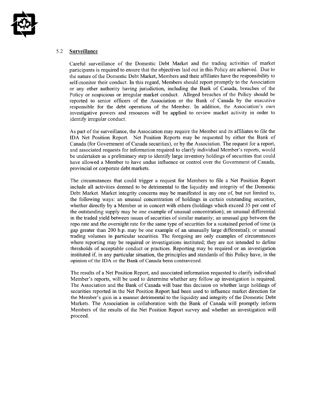

#### 5.2 Surveillance

Careful surveillance of the Domestic Debt Market and the trading activities of market participants is required to ensure that the objectives laid out in this Policy are achieved. Due to the nature of the Domestic Debt Market, Members and their affiliates have the responsibility to self-monitor their conduct. In this regard, Members should report promptly to the Association or any other authority having jurisdiction, including the Bank of Canada, breaches of the Policy or suspicious or irregular market conduct. Alleged breaches of the Policy should be reported to senior officers of the Association or the Bank of Canada by the executive responsible for the debt operations of the Member. In addition, the Association's own investigative powers and resources will be applied to review market activity in order to identify irregular conduct.

As part of the surveillance, the Association may require the Member and its affiliates to file the IDA Net Position Report. Net Position Reports may be requested by either the Bank of Canada (for Government of Canada securities), or by the Association. The request for a report, and associated requests for information required to clarify individual Member's reports, would be undertaken as a preliminary step to identify large inventory holdings of securities that could have allowed a Member to have undue influence or control over the Government of Canada, provincial or corporate debt markets.

The circumstances that could trigger a request for Members to file a Net Position Report include all activities deemed to be detrimental to the liquidity and integrity of the Domestic Debt Market. Market integrity concerns may be manifested in any one of, but not limited to, the following ways: an unusual concentration of holdings in certain outstanding securities, whether directly by a Member or in concert with others (holdings which exceed 35 per cent of the outstanding supply may be one example of unusual concentration); an unusual differential in the traded yield between issues of securities of similar maturity; an unusual gap between the repo rate and the overnight rate for the same type of securities for a sustained period of time (a gap greater than 200 b.p. may be one example of an unusually large differential); or unusual trading volumes in particular securities. The foregoing are only examples of circumstances where reporting may be required or investigations instituted; they are not intended to define thresholds of acceptable conduct or practices. Reporting may be required or an investigation instituted if, in any particular situation, the principles and standards of this Policy have, in the opinion of the IDA or the Bank of Canada been contravened.

The results of a Net Position Report, and associated information requested to clarify individual Member's reports, will be used to determine whether any follow up investigation is required. The Association and the Bank of Canada will base this decision on whether large holdings of securities reported in the Net Position Report had been used to influence market direction for the Member's gain in a manner detrimental to the liquidity and integrity of the Domestic Debt Markets. The Association in collaboration with the Bank of Canada will promptly inform Members of the results of the Net Position Report survey and whether an investigation will proceed.